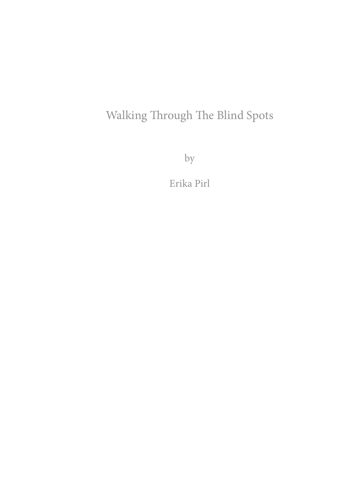## Walking Through The Blind Spots

by

Erika Pirl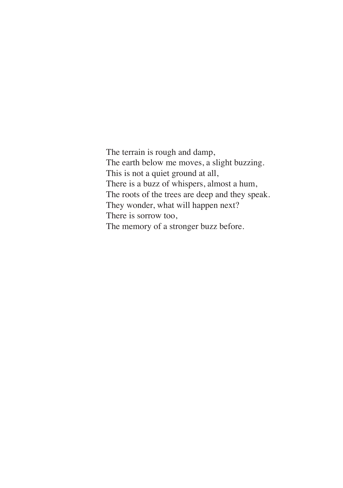The terrain is rough and damp, The earth below me moves, a slight buzzing. This is not a quiet ground at all, There is a buzz of whispers, almost a hum, The roots of the trees are deep and they speak. They wonder, what will happen next? There is sorrow too, The memory of a stronger buzz before.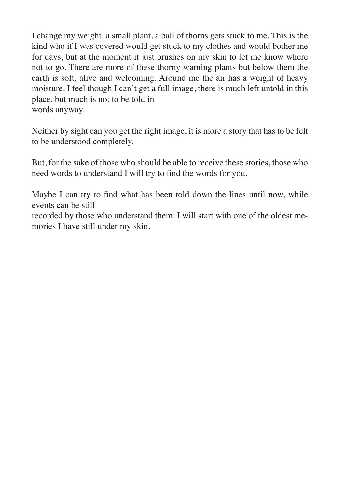I change my weight, a small plant, a ball of thorns gets stuck to me. This is the kind who if I was covered would get stuck to my clothes and would bother me for days, but at the moment it just brushes on my skin to let me know where not to go. There are more of these thorny warning plants but below them the earth is soft, alive and welcoming. Around me the air has a weight of heavy moisture. I feel though I can't get a full image, there is much left untold in this place, but much is not to be told in words anyway.

Neither by sight can you get the right image, it is more a story that has to be felt to be understood completely.

But, for the sake of those who should be able to receive these stories, those who need words to understand I will try to find the words for you.

Maybe I can try to find what has been told down the lines until now, while events can be still recorded by those who understand them. I will start with one of the oldest memories I have still under my skin.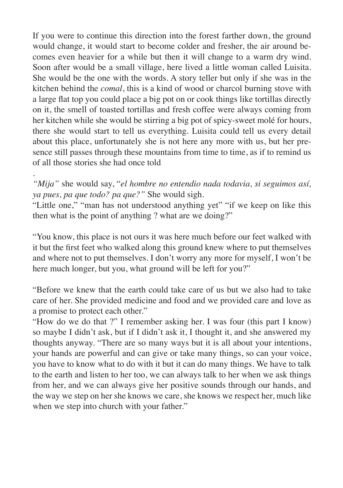If you were to continue this direction into the forest farther down, the ground would change, it would start to become colder and fresher, the air around becomes even heavier for a while but then it will change to a warm dry wind. Soon after would be a small village, here lived a little woman called Luisita. She would be the one with the words. A story teller but only if she was in the kitchen behind the *comal*, this is a kind of wood or charcol burning stove with a large flat top you could place a big pot on or cook things like tortillas directly on it, the smell of toasted tortillas and fresh coffee were always coming from her kitchen while she would be stirring a big pot of spicy-sweet molé for hours, there she would start to tell us everything. Luisita could tell us every detail about this place, unfortunately she is not here any more with us, but her presence still passes through these mountains from time to time, as if to remind us of all those stories she had once told

. *"Mija"* she would say, "*el hombre no entendio nada todavia, si seguimos así, ya pues, pa que todo? pa que?"* She would sigh.

"Little one," "man has not understood anything yet" "if we keep on like this then what is the point of anything ? what are we doing?"

"You know, this place is not ours it was here much before our feet walked with it but the first feet who walked along this ground knew where to put themselves and where not to put themselves. I don't worry any more for myself, I won't be here much longer, but you, what ground will be left for you?"

"Before we knew that the earth could take care of us but we also had to take care of her. She provided medicine and food and we provided care and love as a promise to protect each other."

"How do we do that ?" I remember asking her. I was four (this part I know) so maybe I didn't ask, but if I didn't ask it, I thought it, and she answered my thoughts anyway. "There are so many ways but it is all about your intentions, your hands are powerful and can give or take many things, so can your voice, you have to know what to do with it but it can do many things. We have to talk to the earth and listen to her too, we can always talk to her when we ask things from her, and we can always give her positive sounds through our hands, and the way we step on her she knows we care, she knows we respect her, much like when we step into church with your father."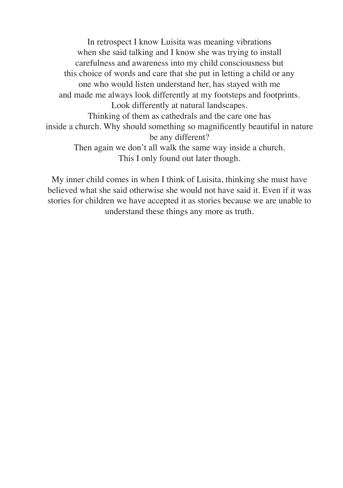In retrospect I know Luisita was meaning vibrations when she said talking and I know she was trying to install carefulness and awareness into my child consciousness but this choice of words and care that she put in letting a child or any one who would listen understand her, has stayed with me and made me always look differently at my footsteps and footprints. Look differently at natural landscapes. Thinking of them as cathedrals and the care one has inside a church. Why should something so magnificently beautiful in nature be any different? Then again we don't all walk the same way inside a church. This I only found out later though.

My inner child comes in when I think of Luisita, thinking she must have believed what she said otherwise she would not have said it. Even if it was stories for children we have accepted it as stories because we are unable to understand these things any more as truth.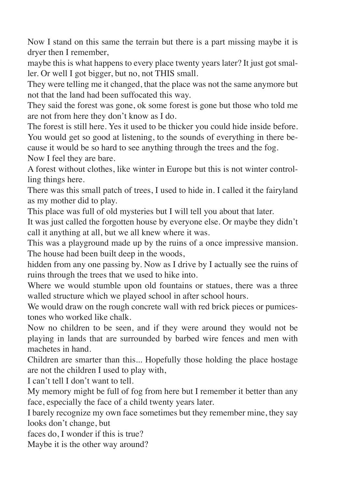Now I stand on this same the terrain but there is a part missing maybe it is dryer then I remember,

maybe this is what happens to every place twenty years later? It just got smaller. Or well I got bigger, but no, not THIS small.

They were telling me it changed, that the place was not the same anymore but not that the land had been suffocated this way.

They said the forest was gone, ok some forest is gone but those who told me are not from here they don't know as I do.

The forest is still here. Yes it used to be thicker you could hide inside before. You would get so good at listening, to the sounds of everything in there because it would be so hard to see anything through the trees and the fog. Now I feel they are bare.

A forest without clothes, like winter in Europe but this is not winter controlling things here.

There was this small patch of trees, I used to hide in. I called it the fairyland as my mother did to play.

This place was full of old mysteries but I will tell you about that later.

It was just called the forgotten house by everyone else. Or maybe they didn't call it anything at all, but we all knew where it was.

This was a playground made up by the ruins of a once impressive mansion. The house had been built deep in the woods,

hidden from any one passing by. Now as I drive by I actually see the ruins of ruins through the trees that we used to hike into.

Where we would stumble upon old fountains or statues, there was a three walled structure which we played school in after school hours.

We would draw on the rough concrete wall with red brick pieces or pumicestones who worked like chalk.

Now no children to be seen, and if they were around they would not be playing in lands that are surrounded by barbed wire fences and men with machetes in hand.

Children are smarter than this... Hopefully those holding the place hostage are not the children I used to play with,

I can't tell I don't want to tell.

My memory might be full of fog from here but I remember it better than any face, especially the face of a child twenty years later.

I barely recognize my own face sometimes but they remember mine, they say looks don't change, but

faces do, I wonder if this is true?

Maybe it is the other way around?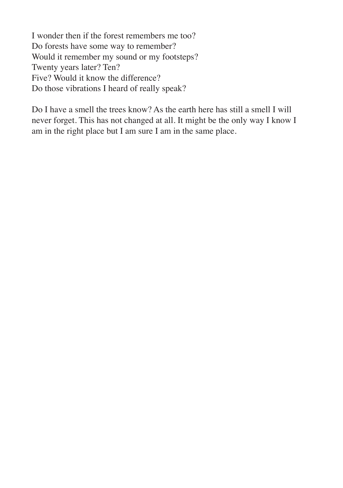I wonder then if the forest remembers me too? Do forests have some way to remember? Would it remember my sound or my footsteps? Twenty years later? Ten? Five? Would it know the difference? Do those vibrations I heard of really speak?

Do I have a smell the trees know? As the earth here has still a smell I will never forget. This has not changed at all. It might be the only way I know I am in the right place but I am sure I am in the same place.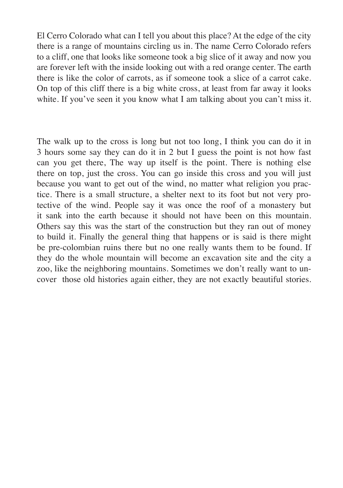El Cerro Colorado what can I tell you about this place? At the edge of the city there is a range of mountains circling us in. The name Cerro Colorado refers to a cliff, one that looks like someone took a big slice of it away and now you are forever left with the inside looking out with a red orange center. The earth there is like the color of carrots, as if someone took a slice of a carrot cake. On top of this cliff there is a big white cross, at least from far away it looks white. If you've seen it you know what I am talking about you can't miss it.

The walk up to the cross is long but not too long, I think you can do it in 3 hours some say they can do it in 2 but I guess the point is not how fast can you get there, The way up itself is the point. There is nothing else there on top, just the cross. You can go inside this cross and you will just because you want to get out of the wind, no matter what religion you practice. There is a small structure, a shelter next to its foot but not very protective of the wind. People say it was once the roof of a monastery but it sank into the earth because it should not have been on this mountain. Others say this was the start of the construction but they ran out of money to build it. Finally the general thing that happens or is said is there might be pre-colombian ruins there but no one really wants them to be found. If they do the whole mountain will become an excavation site and the city a zoo, like the neighboring mountains. Sometimes we don't really want to uncover those old histories again either, they are not exactly beautiful stories.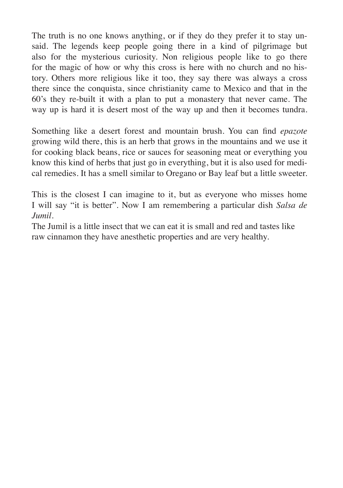The truth is no one knows anything, or if they do they prefer it to stay unsaid. The legends keep people going there in a kind of pilgrimage but also for the mysterious curiosity. Non religious people like to go there for the magic of how or why this cross is here with no church and no history. Others more religious like it too, they say there was always a cross there since the conquista, since christianity came to Mexico and that in the 60's they re-built it with a plan to put a monastery that never came. The way up is hard it is desert most of the way up and then it becomes tundra.

Something like a desert forest and mountain brush. You can find *epazote* growing wild there, this is an herb that grows in the mountains and we use it for cooking black beans, rice or sauces for seasoning meat or everything you know this kind of herbs that just go in everything, but it is also used for medical remedies. It has a smell similar to Oregano or Bay leaf but a little sweeter.

This is the closest I can imagine to it, but as everyone who misses home I will say "it is better". Now I am remembering a particular dish *Salsa de Jumil.*

The Jumil is a little insect that we can eat it is small and red and tastes like raw cinnamon they have anesthetic properties and are very healthy.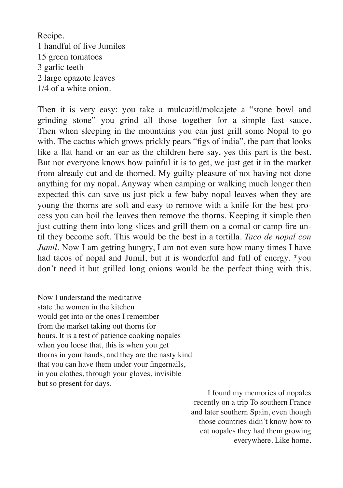Recipe. 1 handful of live Jumiles 15 green tomatoes 3 garlic teeth 2 large epazote leaves 1/4 of a white onion.

Then it is very easy: you take a mulcazitl/molcajete a "stone bowl and grinding stone" you grind all those together for a simple fast sauce. Then when sleeping in the mountains you can just grill some Nopal to go with. The cactus which grows prickly pears "figs of india", the part that looks like a flat hand or an ear as the children here say, yes this part is the best. But not everyone knows how painful it is to get, we just get it in the market from already cut and de-thorned. My guilty pleasure of not having not done anything for my nopal. Anyway when camping or walking much longer then expected this can save us just pick a few baby nopal leaves when they are young the thorns are soft and easy to remove with a knife for the best process you can boil the leaves then remove the thorns. Keeping it simple then just cutting them into long slices and grill them on a comal or camp fire until they become soft. This would be the best in a tortilla. *Taco de nopal con Jumil*. Now I am getting hungry, I am not even sure how many times I have had tacos of nopal and Jumil, but it is wonderful and full of energy. \*you don't need it but grilled long onions would be the perfect thing with this.

Now I understand the meditative state the women in the kitchen would get into or the ones I remember from the market taking out thorns for hours. It is a test of patience cooking nopales when you loose that, this is when you get thorns in your hands, and they are the nasty kind that you can have them under your fingernails, in you clothes, through your gloves, invisible but so present for days.

I found my memories of nopales recently on a trip To southern France and later southern Spain, even though those countries didn't know how to eat nopales they had them growing everywhere. Like home.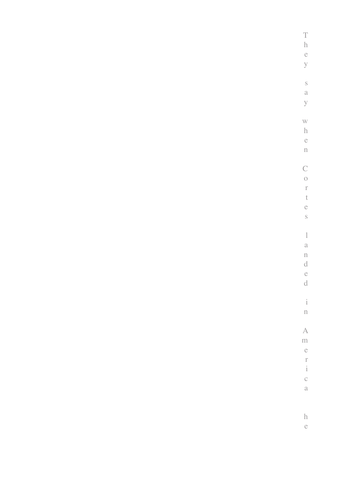| $\frac{T}{h}$                         |
|---------------------------------------|
|                                       |
| e<br>y                                |
|                                       |
|                                       |
| $\rm _S$                              |
| $\alpha$                              |
| $\mathbf{y}$                          |
|                                       |
| $\bar{W}$                             |
| $\boldsymbol{\text{h}}$               |
| $\ddot{\text{e}}$                     |
| $\mathbf{n}$                          |
| $\mathcal{C}$                         |
| $\circlearrowleft$                    |
| $\bar{\Gamma}$                        |
| $\bar{\mathrm{t}}$                    |
| $\ddot{\rm e}$                        |
| $\rm _S$                              |
|                                       |
| $\,$ $\,$                             |
| $\alpha$                              |
| $\mathbf{n}$                          |
| $\rm d$                               |
| $\ddot{\text{c}}$                     |
| $\rm d$                               |
|                                       |
| $\frac{1}{1}$                         |
| $\hat{\mathbf{n}}$                    |
| $\overline{A}$                        |
| $\mathbf{m}$                          |
| $\ddot{\rm c}$                        |
|                                       |
| $\begin{array}{c} r \\ i \end{array}$ |
| $\mathbf{C}$                          |
| $\rm{a}$                              |
|                                       |
|                                       |
| $\rm h$                               |
| $\mathbf{e}$                          |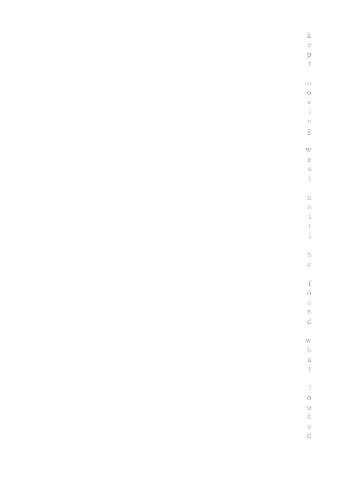| k e p t                                      |
|----------------------------------------------|
|                                              |
| $m$ o $v$ i $n$ g                            |
|                                              |
|                                              |
|                                              |
|                                              |
|                                              |
|                                              |
|                                              |
|                                              |
|                                              |
|                                              |
|                                              |
| $\begin{array}{c} u\\ n\\ i\\ t \end{array}$ |
|                                              |
|                                              |
|                                              |
|                                              |
|                                              |
| h<br>e                                       |
|                                              |
|                                              |
| $\begin{array}{c}\n1 \\ 1\n\end{array}$      |
|                                              |
| $\mathbf u$                                  |
| n<br>d                                       |
|                                              |
|                                              |
| w<br>h<br>a<br>t                             |
|                                              |
|                                              |
|                                              |
|                                              |
| $\begin{matrix} 1 \\ 0 \end{matrix}$         |
|                                              |
| o<br>k<br>e<br>d                             |
|                                              |
|                                              |
|                                              |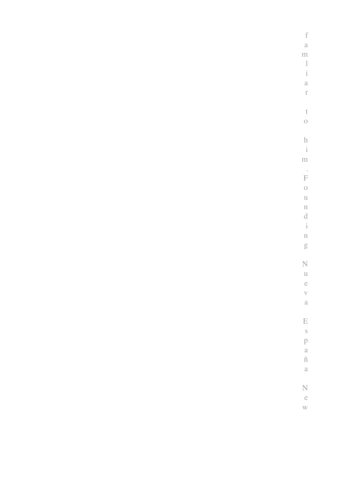| $\begin{array}{c} \text{f} \\ \text{a} \\ \text{m} \\ \text{l} \\ \text{i} \\ \text{a} \\ \text{r} \end{array}$                                             |
|-------------------------------------------------------------------------------------------------------------------------------------------------------------|
|                                                                                                                                                             |
|                                                                                                                                                             |
|                                                                                                                                                             |
|                                                                                                                                                             |
|                                                                                                                                                             |
|                                                                                                                                                             |
|                                                                                                                                                             |
| $\begin{matrix} t \\ 0 \end{matrix}$                                                                                                                        |
|                                                                                                                                                             |
|                                                                                                                                                             |
| $\frac{h}{i}$                                                                                                                                               |
| $\mathbf{m}$                                                                                                                                                |
|                                                                                                                                                             |
|                                                                                                                                                             |
|                                                                                                                                                             |
|                                                                                                                                                             |
|                                                                                                                                                             |
|                                                                                                                                                             |
|                                                                                                                                                             |
|                                                                                                                                                             |
| $\begin{array}{c}\n\cdot \\ \text{F} \quad \text{o} \quad \text{u} \quad \text{n} \quad \text{d} \quad \text{i} \quad \text{n} \quad \text{g}\n\end{array}$ |
|                                                                                                                                                             |
| Nueva                                                                                                                                                       |
|                                                                                                                                                             |
|                                                                                                                                                             |
|                                                                                                                                                             |
|                                                                                                                                                             |
|                                                                                                                                                             |
|                                                                                                                                                             |
|                                                                                                                                                             |
|                                                                                                                                                             |
|                                                                                                                                                             |
| $\begin{array}{c}\nE \text{ s} \\ P \text{ a} \\ \tilde{n} \text{ a}\n\end{array}$                                                                          |
|                                                                                                                                                             |
| N<br>e<br>w                                                                                                                                                 |
|                                                                                                                                                             |
|                                                                                                                                                             |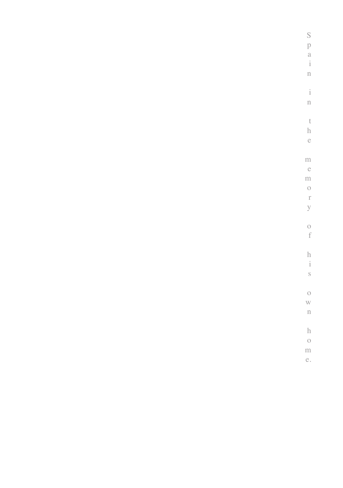| $\mathbf S$             |
|-------------------------|
| p                       |
|                         |
| a<br>i                  |
| $\mathbf{n}$            |
|                         |
| $\frac{1}{1}$           |
| $\mathbf n$             |
|                         |
| $\mathfrak t$           |
| $\rm h$                 |
| $\ddot{\text{e}}$       |
|                         |
| $\rm m$                 |
| $\mathbf{e}$            |
| $\mathbf{m}$            |
| $\circlearrowleft$      |
| $\Gamma$                |
| $\bar{y}$               |
|                         |
| $\circ$                 |
| $\rm f$                 |
|                         |
| $\frac{h}{i}$           |
|                         |
| $\rm _S$                |
|                         |
| $\circ$                 |
| W                       |
| $\bar{\rm n}$           |
|                         |
| $\boldsymbol{\text{h}}$ |
| $\frac{0}{m}$           |
|                         |
| e.                      |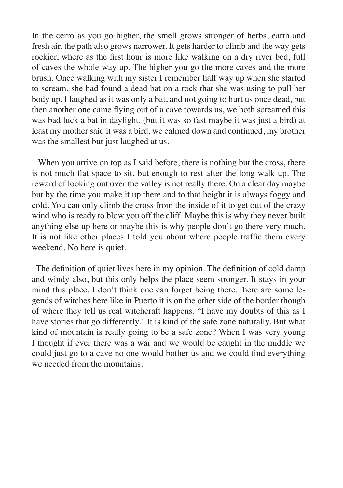In the cerro as you go higher, the smell grows stronger of herbs, earth and fresh air, the path also grows narrower. It gets harder to climb and the way gets rockier, where as the first hour is more like walking on a dry river bed, full of caves the whole way up. The higher you go the more caves and the more brush. Once walking with my sister I remember half way up when she started to scream, she had found a dead bat on a rock that she was using to pull her body up, I laughed as it was only a bat, and not going to hurt us once dead, but then another one came flying out of a cave towards us, we both screamed this was bad luck a bat in daylight. (but it was so fast maybe it was just a bird) at least my mother said it was a bird, we calmed down and continued, my brother was the smallest but just laughed at us.

When you arrive on top as I said before, there is nothing but the cross, there is not much flat space to sit, but enough to rest after the long walk up. The reward of looking out over the valley is not really there. On a clear day maybe but by the time you make it up there and to that height it is always foggy and cold. You can only climb the cross from the inside of it to get out of the crazy wind who is ready to blow you off the cliff. Maybe this is why they never built anything else up here or maybe this is why people don't go there very much. It is not like other places I told you about where people traffic them every weekend. No here is quiet.

 The definition of quiet lives here in my opinion. The definition of cold damp and windy also, but this only helps the place seem stronger. It stays in your mind this place. I don't think one can forget being there.There are some legends of witches here like in Puerto it is on the other side of the border though of where they tell us real witchcraft happens. "I have my doubts of this as I have stories that go differently." It is kind of the safe zone naturally. But what kind of mountain is really going to be a safe zone? When I was very young I thought if ever there was a war and we would be caught in the middle we could just go to a cave no one would bother us and we could find everything we needed from the mountains.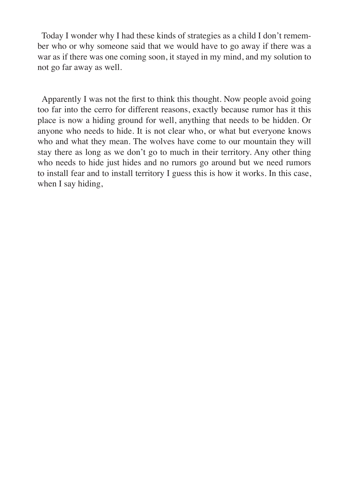Today I wonder why I had these kinds of strategies as a child I don't remember who or why someone said that we would have to go away if there was a war as if there was one coming soon, it stayed in my mind, and my solution to not go far away as well.

 Apparently I was not the first to think this thought. Now people avoid going too far into the cerro for different reasons, exactly because rumor has it this place is now a hiding ground for well, anything that needs to be hidden. Or anyone who needs to hide. It is not clear who, or what but everyone knows who and what they mean. The wolves have come to our mountain they will stay there as long as we don't go to much in their territory. Any other thing who needs to hide just hides and no rumors go around but we need rumors to install fear and to install territory I guess this is how it works. In this case, when I say hiding,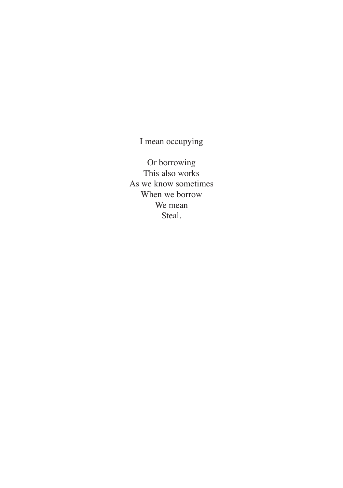I mean occupying

Or borrowing This also works As we know sometimes When we borrow We mean Steal.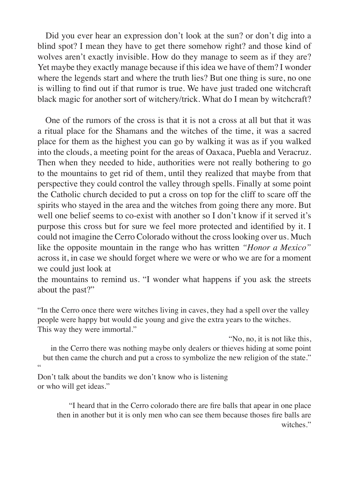Did you ever hear an expression don't look at the sun? or don't dig into a blind spot? I mean they have to get there somehow right? and those kind of wolves aren't exactly invisible. How do they manage to seem as if they are? Yet maybe they exactly manage because if this idea we have of them? I wonder where the legends start and where the truth lies? But one thing is sure, no one is willing to find out if that rumor is true. We have just traded one witchcraft black magic for another sort of witchery/trick. What do I mean by witchcraft?

 One of the rumors of the cross is that it is not a cross at all but that it was a ritual place for the Shamans and the witches of the time, it was a sacred place for them as the highest you can go by walking it was as if you walked into the clouds, a meeting point for the areas of Oaxaca, Puebla and Veracruz. Then when they needed to hide, authorities were not really bothering to go to the mountains to get rid of them, until they realized that maybe from that perspective they could control the valley through spells. Finally at some point the Catholic church decided to put a cross on top for the cliff to scare off the spirits who stayed in the area and the witches from going there any more. But well one belief seems to co-exist with another so I don't know if it served it's purpose this cross but for sure we feel more protected and identified by it. I could not imagine the Cerro Colorado without the cross looking over us. Much like the opposite mountain in the range who has written *"Honor a Mexico"* across it, in case we should forget where we were or who we are for a moment we could just look at

the mountains to remind us. "I wonder what happens if you ask the streets about the past?"

"In the Cerro once there were witches living in caves, they had a spell over the valley people were happy but would die young and give the extra years to the witches. This way they were immortal."

"No, no, it is not like this, in the Cerro there was nothing maybe only dealers or thieves hiding at some point but then came the church and put a cross to symbolize the new religion of the state." "

Don't talk about the bandits we don't know who is listening or who will get ideas."

"I heard that in the Cerro colorado there are fire balls that apear in one place then in another but it is only men who can see them because thoses fire balls are witches."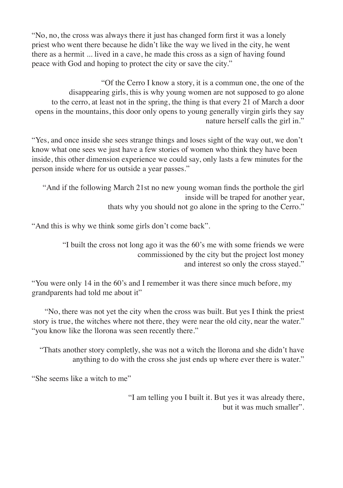"No, no, the cross was always there it just has changed form first it was a lonely priest who went there because he didn't like the way we lived in the city, he went there as a hermit ... lived in a cave, he made this cross as a sign of having found peace with God and hoping to protect the city or save the city."

 "Of the Cerro I know a story, it is a commun one, the one of the disappearing girls, this is why young women are not supposed to go alone to the cerro, at least not in the spring, the thing is that every 21 of March a door opens in the mountains, this door only opens to young generally virgin girls they say nature herself calls the girl in."

"Yes, and once inside she sees strange things and loses sight of the way out, we don't know what one sees we just have a few stories of women who think they have been inside, this other dimension experience we could say, only lasts a few minutes for the person inside where for us outside a year passes."

"And if the following March 21st no new young woman finds the porthole the girl inside will be traped for another year, thats why you should not go alone in the spring to the Cerro."

"And this is why we think some girls don't come back".

 "I built the cross not long ago it was the 60's me with some friends we were commissioned by the city but the project lost money and interest so only the cross stayed."

"You were only 14 in the 60's and I remember it was there since much before, my grandparents had told me about it"

"No, there was not yet the city when the cross was built. But yes I think the priest story is true, the witches where not there, they were near the old city, near the water." "you know like the llorona was seen recently there."

"Thats another story completly, she was not a witch the llorona and she didn't have anything to do with the cross she just ends up where ever there is water."

"She seems like a witch to me"

"I am telling you I built it. But yes it was already there, but it was much smaller".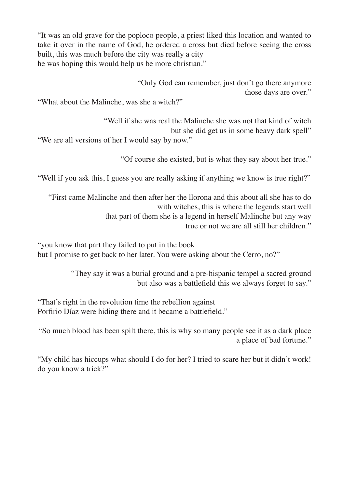"It was an old grave for the poploco people, a priest liked this location and wanted to take it over in the name of God, he ordered a cross but died before seeing the cross built, this was much before the city was really a city he was hoping this would help us be more christian."

"Only God can remember, just don't go there anymore those days are over."

"What about the Malinche, was she a witch?"

"Well if she was real the Malinche she was not that kind of witch but she did get us in some heavy dark spell"

"We are all versions of her I would say by now."

"Of course she existed, but is what they say about her true."

"Well if you ask this, I guess you are really asking if anything we know is true right?"

"First came Malinche and then after her the llorona and this about all she has to do with witches, this is where the legends start well that part of them she is a legend in herself Malinche but any way true or not we are all still her children."

"you know that part they failed to put in the book but I promise to get back to her later. You were asking about the Cerro, no?"

> "They say it was a burial ground and a pre-hispanic tempel a sacred ground but also was a battlefield this we always forget to say."

"That's right in the revolution time the rebellion against Porfirio Díaz were hiding there and it became a battlefield."

"So much blood has been spilt there, this is why so many people see it as a dark place a place of bad fortune."

"My child has hiccups what should I do for her? I tried to scare her but it didn't work! do you know a trick?"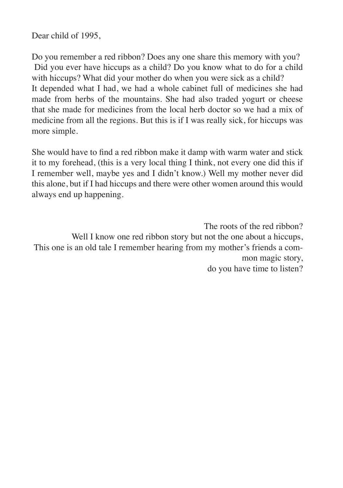Dear child of 1995,

Do you remember a red ribbon? Does any one share this memory with you? Did you ever have hiccups as a child? Do you know what to do for a child with hiccups? What did your mother do when you were sick as a child? It depended what I had, we had a whole cabinet full of medicines she had made from herbs of the mountains. She had also traded yogurt or cheese that she made for medicines from the local herb doctor so we had a mix of medicine from all the regions. But this is if I was really sick, for hiccups was more simple.

She would have to find a red ribbon make it damp with warm water and stick it to my forehead, (this is a very local thing I think, not every one did this if I remember well, maybe yes and I didn't know.) Well my mother never did this alone, but if I had hiccups and there were other women around this would always end up happening.

The roots of the red ribbon? Well I know one red ribbon story but not the one about a hiccups, This one is an old tale I remember hearing from my mother's friends a common magic story, do you have time to listen?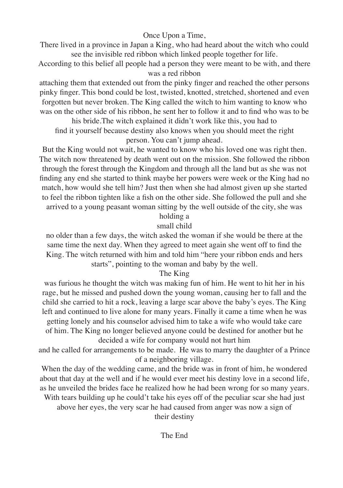Once Upon a Time,

There lived in a province in Japan a King, who had heard about the witch who could see the invisible red ribbon which linked people together for life.

According to this belief all people had a person they were meant to be with, and there was a red ribbon

attaching them that extended out from the pinky finger and reached the other persons pinky finger. This bond could be lost, twisted, knotted, stretched, shortened and even forgotten but never broken. The King called the witch to him wanting to know who was on the other side of his ribbon, he sent her to follow it and to find who was to be

his bride.The witch explained it didn't work like this, you had to find it yourself because destiny also knows when you should meet the right person. You can't jump ahead.

But the King would not wait, he wanted to know who his loved one was right then. The witch now threatened by death went out on the mission. She followed the ribbon through the forest through the Kingdom and through all the land but as she was not finding any end she started to think maybe her powers were week or the King had no match, how would she tell him? Just then when she had almost given up she started to feel the ribbon tighten like a fish on the other side. She followed the pull and she arrived to a young peasant woman sitting by the well outside of the city, she was

## holding a

## small child

no older than a few days, the witch asked the woman if she would be there at the same time the next day. When they agreed to meet again she went off to find the King. The witch returned with him and told him "here your ribbon ends and hers starts", pointing to the woman and baby by the well.

## The King

was furious he thought the witch was making fun of him. He went to hit her in his rage, but he missed and pushed down the young woman, causing her to fall and the child she carried to hit a rock, leaving a large scar above the baby's eyes. The King left and continued to live alone for many years. Finally it came a time when he was getting lonely and his counselor advised him to take a wife who would take care of him. The King no longer believed anyone could be destined for another but he decided a wife for company would not hurt him

and he called for arrangements to be made. He was to marry the daughter of a Prince of a neighboring village.

When the day of the wedding came, and the bride was in front of him, he wondered about that day at the well and if he would ever meet his destiny love in a second life, as he unveiled the brides face he realized how he had been wrong for so many years.

With tears building up he could't take his eyes off of the peculiar scar she had just above her eyes, the very scar he had caused from anger was now a sign of

their destiny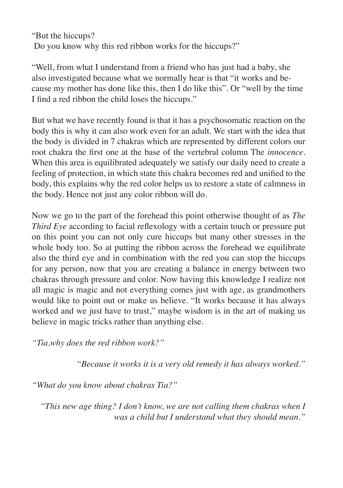"But the hiccups? Do you know why this red ribbon works for the hiccups?"

"Well, from what I understand from a friend who has just had a baby, she also investigated because what we normally hear is that "it works and because my mother has done like this, then I do like this". Or "well by the time I find a red ribbon the child loses the hiccups."

But what we have recently found is that it has a psychosomatic reaction on the body this is why it can also work even for an adult. We start with the idea that the body is divided in 7 chakras which are represented by different colors our root chakra the first one at the base of the vertebral column The *innocence.* When this area is equilibrated adequately we satisfy our daily need to create a feeling of protection, in which state this chakra becomes red and unified to the body, this explains why the red color helps us to restore a state of calmness in the body. Hence not just any color ribbon will do.

Now we go to the part of the forehead this point otherwise thought of as *The Third Eye* according to facial reflexology with a certain touch or pressure put on this point you can not only cure hiccups but many other stresses in the whole body too. So at putting the ribbon across the forehead we equilibrate also the third eye and in combination with the red you can stop the hiccups for any person, now that you are creating a balance in energy between two chakras through pressure and color. Now having this knowledge I realize not all magic is magic and not everything comes just with age, as grandmothers would like to point out or make us believe. "It works because it has always worked and we just have to trust," maybe wisdom is in the art of making us believe in magic tricks rather than anything else.

*"Tia,why does the red ribbon work?"*

*"Because it works it is a very old remedy it has always worked."*

*"What do you know about chakras Tia?"*

 *"This new age thing? I don't know, we are not calling them chakras when I was a child but I understand what they should mean."*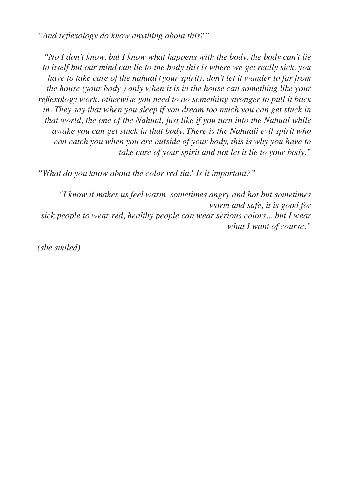*"And reflexology do know anything about this?"*

*"No I don't know, but I know what happens with the body, the body can't lie to itself but our mind can lie to the body this is where we get really sick, you have to take care of the nahual (your spirit), don't let it wander to far from the house (your body ) only when it is in the house can something like your reflexology work, otherwise you need to do something stronger to pull it back in. They say that when you sleep if you dream too much you can get stuck in that world, the one of the Nahual, just like if you turn into the Nahual while awake you can get stuck in that body. There is the Nahuali evil spirit who can catch you when you are outside of your body, this is why you have to take care of your spirit and not let it lie to your body."*

*"What do you know about the color red tia? Is it important?"*

*"I know it makes us feel warm, sometimes angry and hot but sometimes warm and safe, it is good for sick people to wear red, healthy people can wear serious colors....but I wear what I want of course."*

*(she smiled)*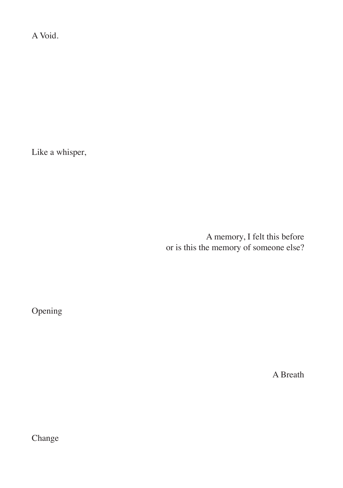A Void.

Like a whisper,

A memory, I felt this before or is this the memory of someone else?

Opening

A Breath

Change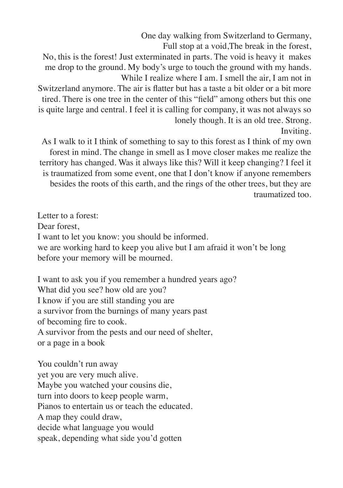One day walking from Switzerland to Germany,

Full stop at a void,The break in the forest,

No, this is the forest! Just exterminated in parts. The void is heavy it makes me drop to the ground. My body's urge to touch the ground with my hands. While I realize where I am. I smell the air, I am not in

Switzerland anymore. The air is flatter but has a taste a bit older or a bit more tired. There is one tree in the center of this "field" among others but this one is quite large and central. I feel it is calling for company, it was not always so lonely though. It is an old tree. Strong.

Inviting.

As I walk to it I think of something to say to this forest as I think of my own forest in mind. The change in smell as I move closer makes me realize the territory has changed. Was it always like this? Will it keep changing? I feel it is traumatized from some event, one that I don't know if anyone remembers besides the roots of this earth, and the rings of the other trees, but they are traumatized too.

Letter to a forest: Dear forest I want to let you know: you should be informed. we are working hard to keep you alive but I am afraid it won't be long before your memory will be mourned.

I want to ask you if you remember a hundred years ago? What did you see? how old are you? I know if you are still standing you are a survivor from the burnings of many years past of becoming fire to cook. A survivor from the pests and our need of shelter, or a page in a book

You couldn't run away yet you are very much alive. Maybe you watched your cousins die, turn into doors to keep people warm, Pianos to entertain us or teach the educated. A map they could draw, decide what language you would speak, depending what side you'd gotten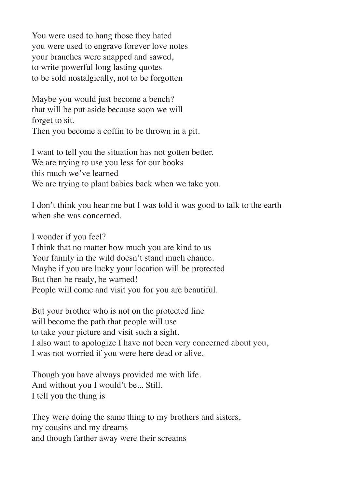You were used to hang those they hated you were used to engrave forever love notes your branches were snapped and sawed, to write powerful long lasting quotes to be sold nostalgically, not to be forgotten

Maybe you would just become a bench? that will be put aside because soon we will forget to sit. Then you become a coffin to be thrown in a pit.

I want to tell you the situation has not gotten better. We are trying to use you less for our books this much we've learned We are trying to plant babies back when we take you.

I don't think you hear me but I was told it was good to talk to the earth when she was concerned.

I wonder if you feel? I think that no matter how much you are kind to us Your family in the wild doesn't stand much chance. Maybe if you are lucky your location will be protected But then be ready, be warned! People will come and visit you for you are beautiful.

But your brother who is not on the protected line will become the path that people will use to take your picture and visit such a sight. I also want to apologize I have not been very concerned about you, I was not worried if you were here dead or alive.

Though you have always provided me with life. And without you I would't be... Still. I tell you the thing is

They were doing the same thing to my brothers and sisters, my cousins and my dreams and though farther away were their screams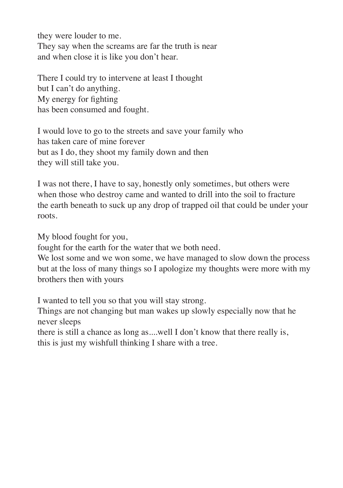they were louder to me. They say when the screams are far the truth is near and when close it is like you don't hear.

There I could try to intervene at least I thought but I can't do anything. My energy for fighting has been consumed and fought.

I would love to go to the streets and save your family who has taken care of mine forever but as I do, they shoot my family down and then they will still take you.

I was not there, I have to say, honestly only sometimes, but others were when those who destroy came and wanted to drill into the soil to fracture the earth beneath to suck up any drop of trapped oil that could be under your roots.

My blood fought for you,

fought for the earth for the water that we both need.

We lost some and we won some, we have managed to slow down the process but at the loss of many things so I apologize my thoughts were more with my brothers then with yours

I wanted to tell you so that you will stay strong.

Things are not changing but man wakes up slowly especially now that he never sleeps

there is still a chance as long as....well I don't know that there really is, this is just my wishfull thinking I share with a tree.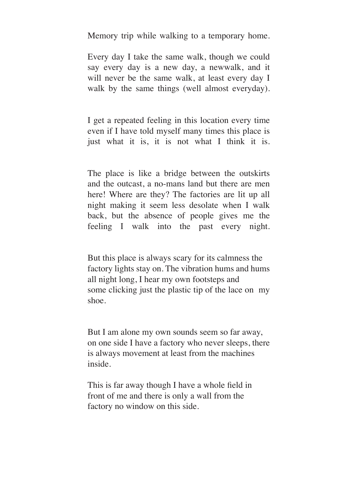Memory trip while walking to a temporary home.

Every day I take the same walk, though we could say every day is a new day, a newwalk, and it will never be the same walk, at least every day I walk by the same things (well almost everyday).

I get a repeated feeling in this location every time even if I have told myself many times this place is just what it is, it is not what I think it is.

The place is like a bridge between the outskirts and the outcast, a no-mans land but there are men here! Where are they? The factories are lit up all night making it seem less desolate when I walk back, but the absence of people gives me the feeling I walk into the past every night.

But this place is always scary for its calmness the factory lights stay on. The vibration hums and hums all night long, I hear my own footsteps and some clicking just the plastic tip of the lace on my shoe.

But I am alone my own sounds seem so far away, on one side I have a factory who never sleeps, there is always movement at least from the machines inside.

This is far away though I have a whole field in front of me and there is only a wall from the factory no window on this side.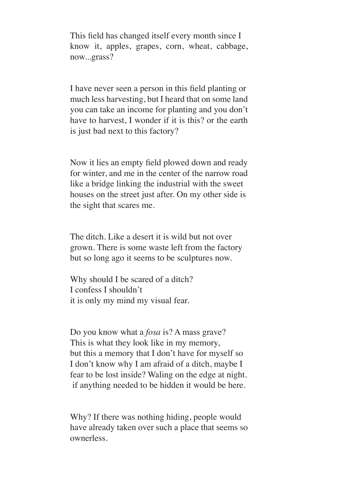This field has changed itself every month since I know it, apples, grapes, corn, wheat, cabbage, now...grass?

I have never seen a person in this field planting or much less harvesting, but I heard that on some land you can take an income for planting and you don't have to harvest, I wonder if it is this? or the earth is just bad next to this factory?

Now it lies an empty field plowed down and ready for winter, and me in the center of the narrow road like a bridge linking the industrial with the sweet houses on the street just after. On my other side is the sight that scares me.

The ditch. Like a desert it is wild but not over grown. There is some waste left from the factory but so long ago it seems to be sculptures now.

Why should I be scared of a ditch? I confess I shouldn't it is only my mind my visual fear.

Do you know what a *fosa* is? A mass grave? This is what they look like in my memory, but this a memory that I don't have for myself so I don't know why I am afraid of a ditch, maybe I fear to be lost inside? Waling on the edge at night. if anything needed to be hidden it would be here.

Why? If there was nothing hiding, people would have already taken over such a place that seems so ownerless.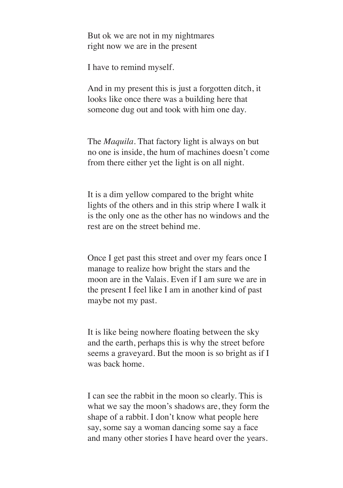But ok we are not in my nightmares right now we are in the present

I have to remind myself.

And in my present this is just a forgotten ditch, it looks like once there was a building here that someone dug out and took with him one day.

The *Maquila*. That factory light is always on but no one is inside, the hum of machines doesn't come from there either yet the light is on all night.

It is a dim yellow compared to the bright white lights of the others and in this strip where I walk it is the only one as the other has no windows and the rest are on the street behind me.

Once I get past this street and over my fears once I manage to realize how bright the stars and the moon are in the Valais. Even if I am sure we are in the present I feel like I am in another kind of past maybe not my past.

It is like being nowhere floating between the sky and the earth, perhaps this is why the street before seems a graveyard. But the moon is so bright as if I was back home.

I can see the rabbit in the moon so clearly. This is what we say the moon's shadows are, they form the shape of a rabbit. I don't know what people here say, some say a woman dancing some say a face and many other stories I have heard over the years.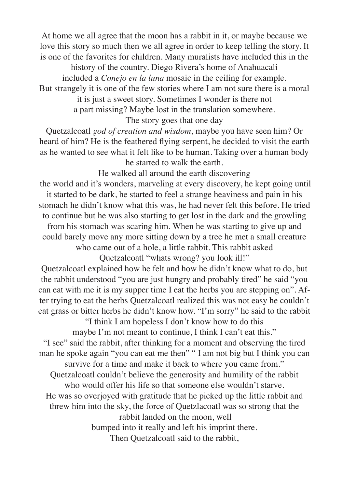At home we all agree that the moon has a rabbit in it, or maybe because we love this story so much then we all agree in order to keep telling the story. It is one of the favorites for children. Many muralists have included this in the

history of the country. Diego Rivera's home of Anahuacali included a *Conejo en la luna* mosaic in the ceiling for example.

But strangely it is one of the few stories where I am not sure there is a moral it is just a sweet story. Sometimes I wonder is there not

a part missing? Maybe lost in the translation somewhere.

The story goes that one day

Quetzalcoatl *god of creation and wisdom*, maybe you have seen him? Or heard of him? He is the feathered flying serpent, he decided to visit the earth as he wanted to see what it felt like to be human. Taking over a human body he started to walk the earth.

He walked all around the earth discovering the world and it's wonders, marveling at every discovery, he kept going until it started to be dark, he started to feel a strange heaviness and pain in his stomach he didn't know what this was, he had never felt this before. He tried to continue but he was also starting to get lost in the dark and the growling from his stomach was scaring him. When he was starting to give up and could barely move any more sitting down by a tree he met a small creature who came out of a hole, a little rabbit. This rabbit asked Quetzalcoatl "whats wrong? you look ill!"

Quetzalcoatl explained how he felt and how he didn't know what to do, but the rabbit understood "you are just hungry and probably tired" he said "you can eat with me it is my supper time I eat the herbs you are stepping on". After trying to eat the herbs Quetzalcoatl realized this was not easy he couldn't eat grass or bitter herbs he didn't know how. "I'm sorry" he said to the rabbit

> "I think I am hopeless I don't know how to do this maybe I'm not meant to continue, I think I can't eat this."

"I see" said the rabbit, after thinking for a moment and observing the tired man he spoke again "you can eat me then" " I am not big but I think you can

survive for a time and make it back to where you came from." Quetzalcoatl couldn't believe the generosity and humility of the rabbit

who would offer his life so that someone else wouldn't starve.

He was so overjoyed with gratitude that he picked up the little rabbit and threw him into the sky, the force of Quetzlacoatl was so strong that the

rabbit landed on the moon, well

bumped into it really and left his imprint there.

Then Quetzalcoatl said to the rabbit,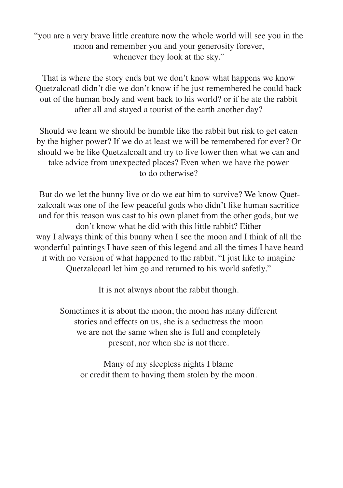"you are a very brave little creature now the whole world will see you in the moon and remember you and your generosity forever, whenever they look at the sky."

That is where the story ends but we don't know what happens we know Quetzalcoatl didn't die we don't know if he just remembered he could back out of the human body and went back to his world? or if he ate the rabbit after all and stayed a tourist of the earth another day?

Should we learn we should be humble like the rabbit but risk to get eaten by the higher power? If we do at least we will be remembered for ever? Or should we be like Quetzalcoalt and try to live lower then what we can and take advice from unexpected places? Even when we have the power to do otherwise?

 But do we let the bunny live or do we eat him to survive? We know Quetzalcoalt was one of the few peaceful gods who didn't like human sacrifice and for this reason was cast to his own planet from the other gods, but we don't know what he did with this little rabbit? Either way I always think of this bunny when I see the moon and I think of all the wonderful paintings I have seen of this legend and all the times I have heard it with no version of what happened to the rabbit. "I just like to imagine Quetzalcoatl let him go and returned to his world safetly."

It is not always about the rabbit though.

Sometimes it is about the moon, the moon has many different stories and effects on us, she is a seductress the moon we are not the same when she is full and completely present, nor when she is not there.

Many of my sleepless nights I blame or credit them to having them stolen by the moon.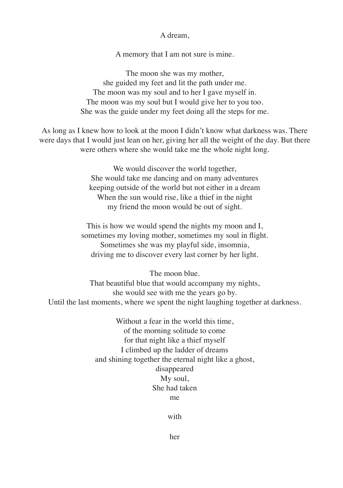A dream,

A memory that I am not sure is mine.

The moon she was my mother, she guided my feet and lit the path under me. The moon was my soul and to her I gave myself in. The moon was my soul but I would give her to you too. She was the guide under my feet doing all the steps for me.

As long as I knew how to look at the moon I didn't know what darkness was. There were days that I would just lean on her, giving her all the weight of the day. But there were others where she would take me the whole night long.

> We would discover the world together, She would take me dancing and on many adventures keeping outside of the world but not either in a dream When the sun would rise, like a thief in the night my friend the moon would be out of sight.

This is how we would spend the nights my moon and I, sometimes my loving mother, sometimes my soul in flight. Sometimes she was my playful side, insomnia, driving me to discover every last corner by her light.

The moon blue. That beautiful blue that would accompany my nights, she would see with me the years go by. Until the last moments, where we spent the night laughing together at darkness.

> Without a fear in the world this time, of the morning solitude to come for that night like a thief myself I climbed up the ladder of dreams and shining together the eternal night like a ghost, disappeared My soul, She had taken me

> > with

her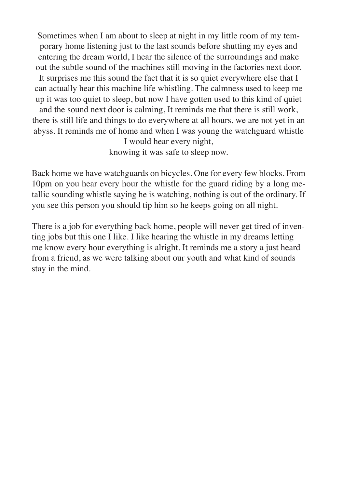Sometimes when I am about to sleep at night in my little room of my temporary home listening just to the last sounds before shutting my eyes and entering the dream world, I hear the silence of the surroundings and make out the subtle sound of the machines still moving in the factories next door. It surprises me this sound the fact that it is so quiet everywhere else that I can actually hear this machine life whistling. The calmness used to keep me up it was too quiet to sleep, but now I have gotten used to this kind of quiet and the sound next door is calming, It reminds me that there is still work,

there is still life and things to do everywhere at all hours, we are not yet in an abyss. It reminds me of home and when I was young the watchguard whistle I would hear every night,

knowing it was safe to sleep now.

Back home we have watchguards on bicycles. One for every few blocks. From 10pm on you hear every hour the whistle for the guard riding by a long metallic sounding whistle saying he is watching, nothing is out of the ordinary. If you see this person you should tip him so he keeps going on all night.

There is a job for everything back home, people will never get tired of inventing jobs but this one I like. I like hearing the whistle in my dreams letting me know every hour everything is alright. It reminds me a story a just heard from a friend, as we were talking about our youth and what kind of sounds stay in the mind.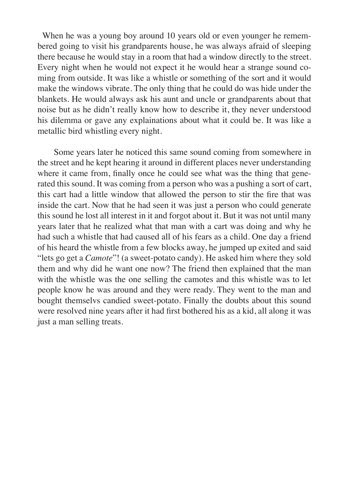When he was a young boy around 10 years old or even younger he remembered going to visit his grandparents house, he was always afraid of sleeping there because he would stay in a room that had a window directly to the street. Every night when he would not expect it he would hear a strange sound coming from outside. It was like a whistle or something of the sort and it would make the windows vibrate. The only thing that he could do was hide under the blankets. He would always ask his aunt and uncle or grandparents about that noise but as he didn't really know how to describe it, they never understood his dilemma or gave any explainations about what it could be. It was like a metallic bird whistling every night.

 Some years later he noticed this same sound coming from somewhere in the street and he kept hearing it around in different places never understanding where it came from, finally once he could see what was the thing that generated this sound. It was coming from a person who was a pushing a sort of cart, this cart had a little window that allowed the person to stir the fire that was inside the cart. Now that he had seen it was just a person who could generate this sound he lost all interest in it and forgot about it. But it was not until many years later that he realized what that man with a cart was doing and why he had such a whistle that had caused all of his fears as a child. One day a friend of his heard the whistle from a few blocks away, he jumped up exited and said "lets go get a *Camote*"! (a sweet-potato candy). He asked him where they sold them and why did he want one now? The friend then explained that the man with the whistle was the one selling the camotes and this whistle was to let people know he was around and they were ready. They went to the man and bought themselvs candied sweet-potato. Finally the doubts about this sound were resolved nine years after it had first bothered his as a kid, all along it was just a man selling treats.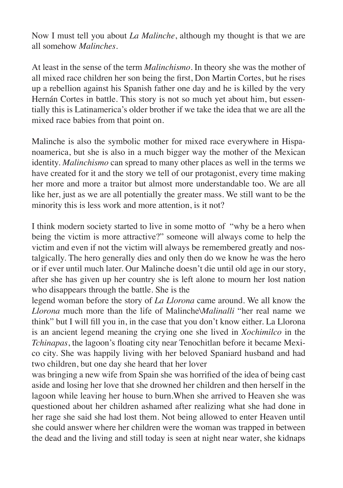Now I must tell you about *La Malinche*, although my thought is that we are all somehow *Malinches*.

At least in the sense of the term *Malinchismo.* In theory she was the mother of all mixed race children her son being the first, Don Martin Cortes, but he rises up a rebellion against his Spanish father one day and he is killed by the very Hernán Cortes in battle. This story is not so much yet about him, but essentially this is Latinamerica's older brother if we take the idea that we are all the mixed race babies from that point on.

Malinche is also the symbolic mother for mixed race everywhere in Hispanoamerica, but she is also in a much bigger way the mother of the Mexican identity. *Malinchismo* can spread to many other places as well in the terms we have created for it and the story we tell of our protagonist, every time making her more and more a traitor but almost more understandable too. We are all like her, just as we are all potentially the greater mass. We still want to be the minority this is less work and more attention, is it not?

I think modern society started to live in some motto of "why be a hero when being the victim is more attractive?" someone will always come to help the victim and even if not the victim will always be remembered greatly and nostalgically. The hero generally dies and only then do we know he was the hero or if ever until much later. Our Malinche doesn't die until old age in our story, after she has given up her country she is left alone to mourn her lost nation who disappears through the battle. She is the

legend woman before the story of *La Llorona* came around. We all know the *Llorona* much more than the life of Malinche\*Malinalli* "her real name we think" but I will fill you in, in the case that you don't know either. La Llorona is an ancient legend meaning the crying one she lived in *Xochimilco* in the *Tchinapas*, the lagoon's floating city near Tenochitlan before it became Mexico city. She was happily living with her beloved Spaniard husband and had two children, but one day she heard that her lover

was bringing a new wife from Spain she was horrified of the idea of being cast aside and losing her love that she drowned her children and then herself in the lagoon while leaving her house to burn.When she arrived to Heaven she was questioned about her children ashamed after realizing what she had done in her rage she said she had lost them. Not being allowed to enter Heaven until she could answer where her children were the woman was trapped in between the dead and the living and still today is seen at night near water, she kidnaps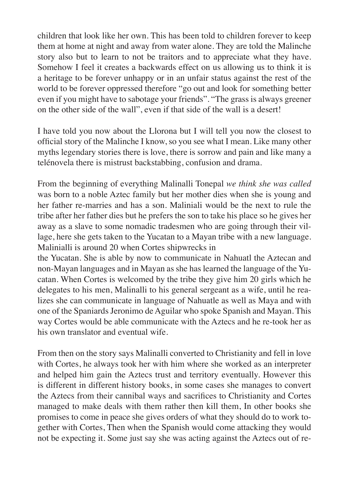children that look like her own. This has been told to children forever to keep them at home at night and away from water alone. They are told the Malinche story also but to learn to not be traitors and to appreciate what they have. Somehow I feel it creates a backwards effect on us allowing us to think it is a heritage to be forever unhappy or in an unfair status against the rest of the world to be forever oppressed therefore "go out and look for something better even if you might have to sabotage your friends". "The grass is always greener on the other side of the wall", even if that side of the wall is a desert!

I have told you now about the Llorona but I will tell you now the closest to official story of the Malinche I know, so you see what I mean. Like many other myths legendary stories there is love, there is sorrow and pain and like many a telénovela there is mistrust backstabbing, confusion and drama.

From the beginning of everything Malinalli Tonepal *we think she was called*  was born to a noble Aztec family but her mother dies when she is young and her father re-marries and has a son. Maliniali would be the next to rule the tribe after her father dies but he prefers the son to take his place so he gives her away as a slave to some nomadic tradesmen who are going through their village, here she gets taken to the Yucatan to a Mayan tribe with a new language. Malinialli is around 20 when Cortes shipwrecks in

the Yucatan. She is able by now to communicate in Nahuatl the Aztecan and non-Mayan languages and in Mayan as she has learned the language of the Yucatan. When Cortes is welcomed by the tribe they give him 20 girls which he delegates to his men, Malinalli to his general sergeant as a wife, until he realizes she can communicate in language of Nahuatle as well as Maya and with one of the Spaniards Jeronimo de Aguilar who spoke Spanish and Mayan. This way Cortes would be able communicate with the Aztecs and he re-took her as his own translator and eventual wife.

From then on the story says Malinalli converted to Christianity and fell in love with Cortes, he always took her with him where she worked as an interpreter and helped him gain the Aztecs trust and territory eventually. However this is different in different history books, in some cases she manages to convert the Aztecs from their cannibal ways and sacrifices to Christianity and Cortes managed to make deals with them rather then kill them, In other books she promises to come in peace she gives orders of what they should do to work together with Cortes, Then when the Spanish would come attacking they would not be expecting it. Some just say she was acting against the Aztecs out of re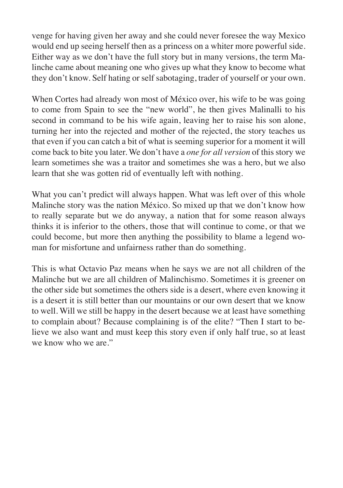venge for having given her away and she could never foresee the way Mexico would end up seeing herself then as a princess on a whiter more powerful side. Either way as we don't have the full story but in many versions, the term Malinche came about meaning one who gives up what they know to become what they don't know. Self hating or self sabotaging, trader of yourself or your own.

When Cortes had already won most of México over, his wife to be was going to come from Spain to see the "new world", he then gives Malinalli to his second in command to be his wife again, leaving her to raise his son alone, turning her into the rejected and mother of the rejected, the story teaches us that even if you can catch a bit of what is seeming superior for a moment it will come back to bite you later. We don't have a *one for all version* of this story we learn sometimes she was a traitor and sometimes she was a hero, but we also learn that she was gotten rid of eventually left with nothing.

What you can't predict will always happen. What was left over of this whole Malinche story was the nation México. So mixed up that we don't know how to really separate but we do anyway, a nation that for some reason always thinks it is inferior to the others, those that will continue to come, or that we could become, but more then anything the possibility to blame a legend woman for misfortune and unfairness rather than do something.

This is what Octavio Paz means when he says we are not all children of the Malinche but we are all children of Malinchismo. Sometimes it is greener on the other side but sometimes the others side is a desert, where even knowing it is a desert it is still better than our mountains or our own desert that we know to well. Will we still be happy in the desert because we at least have something to complain about? Because complaining is of the elite? "Then I start to believe we also want and must keep this story even if only half true, so at least we know who we are."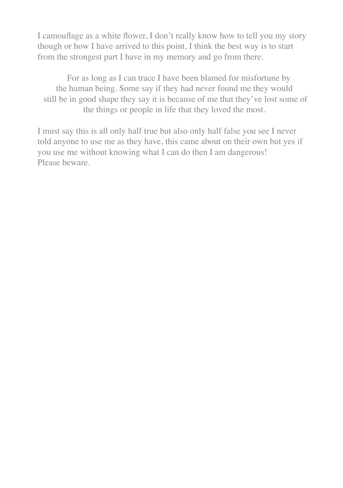I camouflage as a white flower, I don't really know how to tell you my story though or how I have arrived to this point, I think the best way is to start from the strongest part I have in my memory and go from there.

 For as long as I can trace I have been blamed for misfortune by the human being. Some say if they had never found me they would still be in good shape they say it is because of me that they've lost some of the things or people in life that they loved the most.

I must say this is all only half true but also only half false you see I never told anyone to use me as they have, this came about on their own but yes if you use me without knowing what I can do then I am dangerous! Please beware.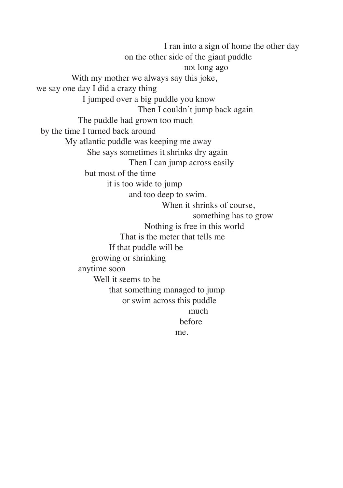I ran into a sign of home the other day on the other side of the giant puddle not long ago With my mother we always say this joke, we say one day I did a crazy thing I jumped over a big puddle you know Then I couldn't jump back again The puddle had grown too much by the time I turned back around My atlantic puddle was keeping me away She says sometimes it shrinks dry again Then I can jump across easily but most of the time it is too wide to jump and too deep to swim. When it shrinks of course, something has to grow Nothing is free in this world That is the meter that tells me If that puddle will be growing or shrinking anytime soon Well it seems to be that something managed to jump or swim across this puddle much a compared to the much much before me.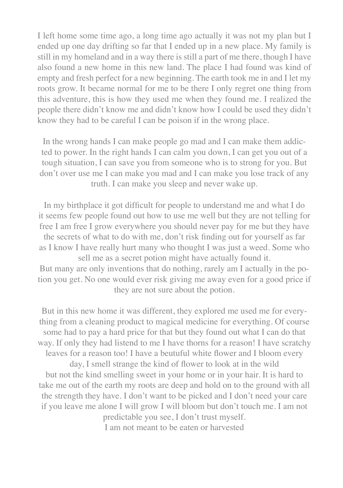I left home some time ago, a long time ago actually it was not my plan but I ended up one day drifting so far that I ended up in a new place. My family is still in my homeland and in a way there is still a part of me there, though I have also found a new home in this new land. The place I had found was kind of empty and fresh perfect for a new beginning. The earth took me in and I let my roots grow. It became normal for me to be there I only regret one thing from this adventure, this is how they used me when they found me. I realized the people there didn't know me and didn't know how I could be used they didn't know they had to be careful I can be poison if in the wrong place.

In the wrong hands I can make people go mad and I can make them addicted to power. In the right hands I can calm you down, I can get you out of a tough situation, I can save you from someone who is to strong for you. But don't over use me I can make you mad and I can make you lose track of any truth. I can make you sleep and never wake up.

In my birthplace it got difficult for people to understand me and what I do it seems few people found out how to use me well but they are not telling for free I am free I grow everywhere you should never pay for me but they have the secrets of what to do with me, don't risk finding out for yourself as far as I know I have really hurt many who thought I was just a weed. Some who sell me as a secret potion might have actually found it. But many are only inventions that do nothing, rarely am I actually in the potion you get. No one would ever risk giving me away even for a good price if they are not sure about the potion.

But in this new home it was different, they explored me used me for everything from a cleaning product to magical medicine for everything. Of course some had to pay a hard price for that but they found out what I can do that way. If only they had listend to me I have thorns for a reason! I have scratchy leaves for a reason too! I have a beutuful white flower and I bloom every day, I smell strange the kind of flower to look at in the wild but not the kind smelling sweet in your home or in your hair. It is hard to take me out of the earth my roots are deep and hold on to the ground with all the strength they have. I don't want to be picked and I don't need your care if you leave me alone I will grow I will bloom but don't touch me. I am not

predictable you see, I don't trust myself. I am not meant to be eaten or harvested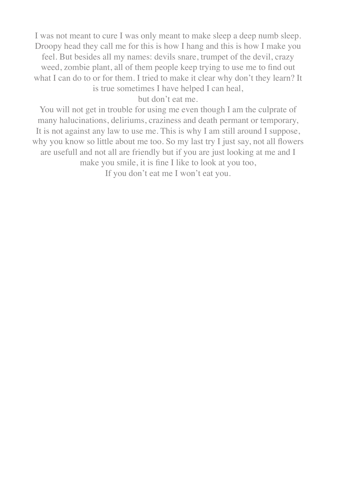I was not meant to cure I was only meant to make sleep a deep numb sleep. Droopy head they call me for this is how I hang and this is how I make you feel. But besides all my names: devils snare, trumpet of the devil, crazy weed, zombie plant, all of them people keep trying to use me to find out what I can do to or for them. I tried to make it clear why don't they learn? It is true sometimes I have helped I can heal,

but don't eat me.

You will not get in trouble for using me even though I am the culprate of many halucinations, deliriums, craziness and death permant or temporary, It is not against any law to use me. This is why I am still around I suppose, why you know so little about me too. So my last try I just say, not all flowers are usefull and not all are friendly but if you are just looking at me and I make you smile, it is fine I like to look at you too,

If you don't eat me I won't eat you.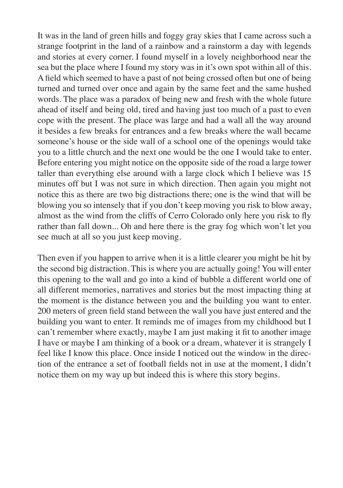It was in the land of green hills and foggy gray skies that I came across such a strange footprint in the land of a rainbow and a rainstorm a day with legends and stories at every corner. I found myself in a lovely neighborhood near the sea but the place where I found my story was in it's own spot within all of this. A field which seemed to have a past of not being crossed often but one of being turned and turned over once and again by the same feet and the same hushed words. The place was a paradox of being new and fresh with the whole future ahead of itself and being old, tired and having just too much of a past to even cope with the present. The place was large and had a wall all the way around it besides a few breaks for entrances and a few breaks where the wall became someone's house or the side wall of a school one of the openings would take you to a little church and the next one would be the one I would take to enter. Before entering you might notice on the opposite side of the road a large tower taller than everything else around with a large clock which I believe was 15 minutes off but I was not sure in which direction. Then again you might not notice this as there are two big distractions there; one is the wind that will be blowing you so intensely that if you don't keep moving you risk to blow away, almost as the wind from the cliffs of Cerro Colorado only here you risk to fly rather than fall down... Oh and here there is the gray fog which won't let you see much at all so you just keep moving.

Then even if you happen to arrive when it is a little clearer you might be hit by the second big distraction. This is where you are actually going! You will enter this opening to the wall and go into a kind of bubble a different world one of all different memories, narratives and stories but the most impacting thing at the moment is the distance between you and the building you want to enter. 200 meters of green field stand between the wall you have just entered and the building you want to enter. It reminds me of images from my childhood but I can't remember where exactly, maybe I am just making it fit to another image I have or maybe I am thinking of a book or a dream, whatever it is strangely I feel like I know this place. Once inside I noticed out the window in the direction of the entrance a set of football fields not in use at the moment, I didn't notice them on my way up but indeed this is where this story begins.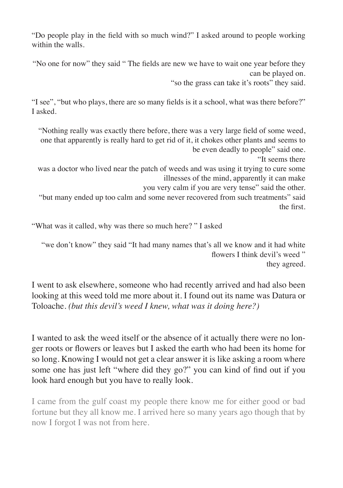"Do people play in the field with so much wind?" I asked around to people working within the walls.

"No one for now" they said " The fields are new we have to wait one year before they can be played on.

"so the grass can take it's roots" they said.

"I see", "but who plays, there are so many fields is it a school, what was there before?" I asked.

"Nothing really was exactly there before, there was a very large field of some weed, one that apparently is really hard to get rid of it, it chokes other plants and seems to be even deadly to people" said one.

"It seems there

was a doctor who lived near the patch of weeds and was using it trying to cure some illnesses of the mind, apparently it can make

you very calm if you are very tense" said the other.

"but many ended up too calm and some never recovered from such treatments" said the first.

"What was it called, why was there so much here? " I asked

"we don't know" they said "It had many names that's all we know and it had white flowers I think devil's weed" they agreed.

I went to ask elsewhere, someone who had recently arrived and had also been looking at this weed told me more about it. I found out its name was Datura or Toloache. *(but this devil's weed I knew, what was it doing here?)*

I wanted to ask the weed itself or the absence of it actually there were no longer roots or flowers or leaves but I asked the earth who had been its home for so long. Knowing I would not get a clear answer it is like asking a room where some one has just left "where did they go?" you can kind of find out if you look hard enough but you have to really look.

I came from the gulf coast my people there know me for either good or bad fortune but they all know me. I arrived here so many years ago though that by now I forgot I was not from here.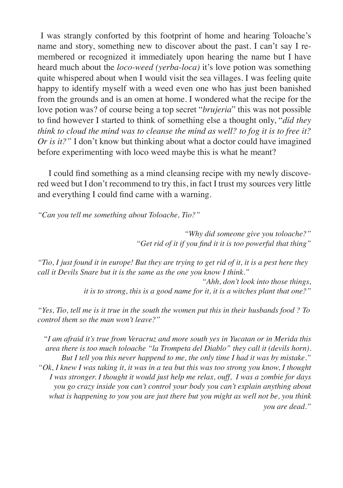I was strangly conforted by this footprint of home and hearing Toloache's name and story, something new to discover about the past. I can't say I remembered or recognized it immediately upon hearing the name but I have heard much about the *loco-weed (yerba-loca)* it's love potion was something quite whispered about when I would visit the sea villages. I was feeling quite happy to identify myself with a weed even one who has just been banished from the grounds and is an omen at home. I wondered what the recipe for the love potion was? of course being a top secret "*brujeria*" this was not possible to find however I started to think of something else a thought only, "*did they think to cloud the mind was to cleanse the mind as well? to fog it is to free it? Or is it?"* I don't know but thinking about what a doctor could have imagined before experimenting with loco weed maybe this is what he meant?

 I could find something as a mind cleansing recipe with my newly discovered weed but I don't recommend to try this, in fact I trust my sources very little and everything I could find came with a warning.

*"Can you tell me something about Toloache, Tio?"*

*"Why did someone give you toloache?" "Get rid of it if you find it it is too powerful that thing"*

*"Tio, I just found it in europe! But they are trying to get rid of it, it is a pest here they call it Devils Snare but it is the same as the one you know I think."*

> *"Ahh, don't look into those things, it is to strong, this is a good name for it, it is a witches plant that one?"*

*"Yes, Tio, tell me is it true in the south the women put this in their husbands food ? To control them so the man won't leave?"*

*"I am afraid it's true from Veracruz and more south yes in Yucatan or in Merida this area there is too much toloache "la Trompeta del Diablo" they call it (devils horn). But I tell you this never happend to me, the only time I had it was by mistake." "Ok, I knew I was taking it, it was in a tea but this was too strong you know, I thought I was stronger. I thought it would just help me relax, ouff, I was a zombie for days you go crazy inside you can't control your body you can't explain anything about what is happening to you you are just there but you might as well not be, you think you are dead."*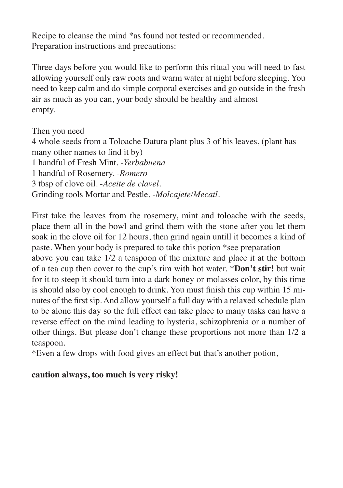Recipe to cleanse the mind \*as found not tested or recommended. Preparation instructions and precautions:

Three days before you would like to perform this ritual you will need to fast allowing yourself only raw roots and warm water at night before sleeping. You need to keep calm and do simple corporal exercises and go outside in the fresh air as much as you can, your body should be healthy and almost empty.

Then you need 4 whole seeds from a Toloache Datura plant plus 3 of his leaves, (plant has many other names to find it by) 1 handful of Fresh Mint. -*Yerbabuena* 1 handful of Rosemery. -*Romero* 3 tbsp of clove oil. -*Aceite de clavel.* Grinding tools Mortar and Pestle. -*Molcajete/Mecatl.*

First take the leaves from the rosemery, mint and toloache with the seeds, place them all in the bowl and grind them with the stone after you let them soak in the clove oil for 12 hours, then grind again untill it becomes a kind of paste. When your body is prepared to take this potion \*see preparation above you can take 1/2 a teaspoon of the mixture and place it at the bottom of a tea cup then cover to the cup's rim with hot water. \***Don't stir!** but wait for it to steep it should turn into a dark honey or molasses color, by this time is should also by cool enough to drink. You must finish this cup within 15 minutes of the first sip. And allow yourself a full day with a relaxed schedule plan to be alone this day so the full effect can take place to many tasks can have a reverse effect on the mind leading to hysteria, schizophrenia or a number of other things. But please don't change these proportions not more than 1/2 a teaspoon.

\*Even a few drops with food gives an effect but that's another potion,

## **caution always, too much is very risky!**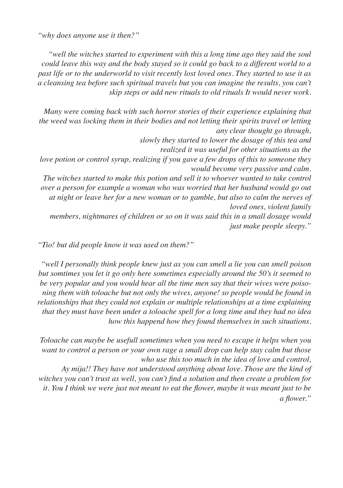*"why does anyone use it then?"*

*"well the witches started to experiment with this a long time ago they said the soul could leave this way and the body stayed so it could go back to a different world to a past life or to the underworld to visit recently lost loved ones. They started to use it as a cleansing tea before such spiritual travels but you can imagine the results, you can't skip steps or add new rituals to old rituals It would never work.* 

*Many were coming back with such horror stories of their experience explaining that the weed was locking them in their bodies and not letting their spirits travel or letting any clear thought go through,* 

*slowly they started to lower the dosage of this tea and*

 *realized it was useful for other situations as the*

*love potion or control syrup, realizing if you gave a few drops of this to someone they would become very passive and calm.* 

*The witches started to make this potion and sell it to whoever wanted to take control over a person for example a woman who was worried that her husband would go out at night or leave her for a new woman or to gamble, but also to calm the nerves of loved ones, violent family*

*members, nightmares of children or so on it was said this in a small dosage would just make people sleepy."*

*"Tio! but did people know it was used on them?"*

*"well I personally think people knew just as you can smell a lie you can smell poison but somtimes you let it go only here sometimes especially around the 50's it seemed to be very popular and you would hear all the time men say that their wives were poisoning them with toloache but not only the wives, anyone! so people would be found in relationships that they could not explain or multiple relationships at a time explaining that they must have been under a toloache spell for a long time and they had no idea how this happend how they found themselves in such situations.*

*Toloache can maybe be usefull sometimes when you need to escape it helps when you want to control a person or your own rage a small drop can help stay calm but those who use this too much in the idea of love and control,* 

 *Ay mija!! They have not understood anything about love. Those are the kind of witches you can't trust as well, you can't find a solution and then create a problem for it. You I think we were just not meant to eat the flower, maybe it was meant just to be a flower."*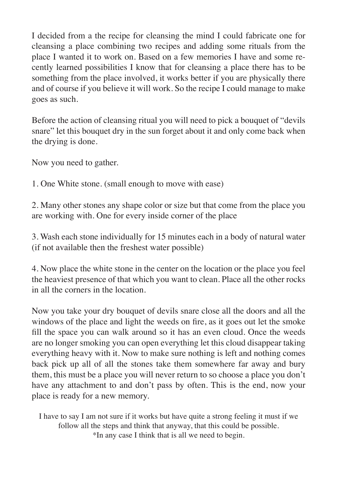I decided from a the recipe for cleansing the mind I could fabricate one for cleansing a place combining two recipes and adding some rituals from the place I wanted it to work on. Based on a few memories I have and some recently learned possibilities I know that for cleansing a place there has to be something from the place involved, it works better if you are physically there and of course if you believe it will work. So the recipe I could manage to make goes as such.

Before the action of cleansing ritual you will need to pick a bouquet of "devils snare" let this bouquet dry in the sun forget about it and only come back when the drying is done.

Now you need to gather.

1. One White stone. (small enough to move with ease)

2. Many other stones any shape color or size but that come from the place you are working with. One for every inside corner of the place

3. Wash each stone individually for 15 minutes each in a body of natural water (if not available then the freshest water possible)

4. Now place the white stone in the center on the location or the place you feel the heaviest presence of that which you want to clean. Place all the other rocks in all the corners in the location.

Now you take your dry bouquet of devils snare close all the doors and all the windows of the place and light the weeds on fire, as it goes out let the smoke fill the space you can walk around so it has an even cloud. Once the weeds are no longer smoking you can open everything let this cloud disappear taking everything heavy with it. Now to make sure nothing is left and nothing comes back pick up all of all the stones take them somewhere far away and bury them, this must be a place you will never return to so choose a place you don't have any attachment to and don't pass by often. This is the end, now your place is ready for a new memory.

I have to say I am not sure if it works but have quite a strong feeling it must if we follow all the steps and think that anyway, that this could be possible. \*In any case I think that is all we need to begin.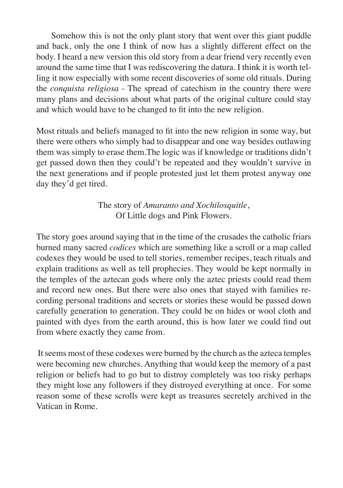Somehow this is not the only plant story that went over this giant puddle and back, only the one I think of now has a slightly different effect on the body. I heard a new version this old story from a dear friend very recently even around the same time that I was rediscovering the datura. I think it is worth telling it now especially with some recent discoveries of some old rituals. During the *conquista religiosa* - The spread of catechism in the country there were many plans and decisions about what parts of the original culture could stay and which would have to be changed to fit into the new religion.

Most rituals and beliefs managed to fit into the new religion in some way, but there were others who simply had to disappear and one way besides outlawing them was simply to erase them.The logic was if knowledge or traditions didn't get passed down then they could't be repeated and they wouldn't survive in the next generations and if people protested just let them protest anyway one day they'd get tired.

> The story of *Amaranto and Xochilosquitle*, Of Little dogs and Pink Flowers.

The story goes around saying that in the time of the crusades the catholic friars burned many sacred *codices* which are something like a scroll or a map called codexes they would be used to tell stories, remember recipes, teach rituals and explain traditions as well as tell prophecies. They would be kept normally in the temples of the aztecan gods where only the aztec priests could read them and record new ones. But there were also ones that stayed with families recording personal traditions and secrets or stories these would be passed down carefully generation to generation. They could be on hides or wool cloth and painted with dyes from the earth around, this is how later we could find out from where exactly they came from.

 It seems most of these codexes were burned by the church as the azteca temples were becoming new churches. Anything that would keep the memory of a past religion or beliefs had to go but to distroy completely was too risky perhaps they might lose any followers if they distroyed everything at once. For some reason some of these scrolls were kept as treasures secretely archived in the Vatican in Rome.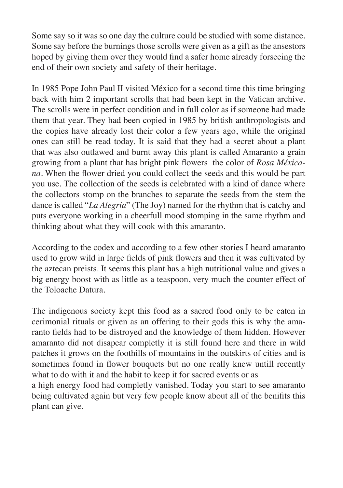Some say so it was so one day the culture could be studied with some distance. Some say before the burnings those scrolls were given as a gift as the ansestors hoped by giving them over they would find a safer home already forseeing the end of their own society and safety of their heritage.

In 1985 Pope John Paul II visited México for a second time this time bringing back with him 2 important scrolls that had been kept in the Vatican archive. The scrolls were in perfect condition and in full color as if someone had made them that year. They had been copied in 1985 by british anthropologists and the copies have already lost their color a few years ago, while the original ones can still be read today. It is said that they had a secret about a plant that was also outlawed and burnt away this plant is called Amaranto a grain growing from a plant that has bright pink flowers the color of *Rosa Méxicana*. When the flower dried you could collect the seeds and this would be part you use. The collection of the seeds is celebrated with a kind of dance where the collectors stomp on the branches to separate the seeds from the stem the dance is called "*La Alegria*" (The Joy) named for the rhythm that is catchy and puts everyone working in a cheerfull mood stomping in the same rhythm and thinking about what they will cook with this amaranto.

According to the codex and according to a few other stories I heard amaranto used to grow wild in large fields of pink flowers and then it was cultivated by the aztecan preists. It seems this plant has a high nutritional value and gives a big energy boost with as little as a teaspoon, very much the counter effect of the Toloache Datura.

The indigenous society kept this food as a sacred food only to be eaten in cerimonial rituals or given as an offering to their gods this is why the amaranto fields had to be distroyed and the knowledge of them hidden. However amaranto did not disapear completly it is still found here and there in wild patches it grows on the foothills of mountains in the outskirts of cities and is sometimes found in flower bouquets but no one really knew untill recently what to do with it and the habit to keep it for sacred events or as

a high energy food had completly vanished. Today you start to see amaranto being cultivated again but very few people know about all of the benifits this plant can give.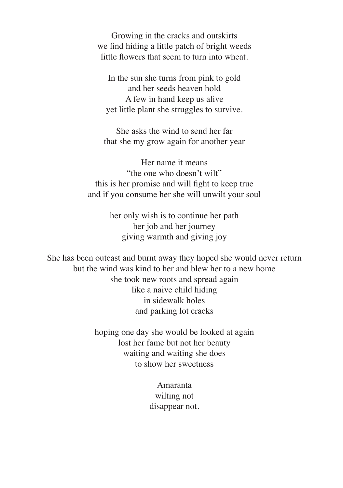Growing in the cracks and outskirts we find hiding a little patch of bright weeds little flowers that seem to turn into wheat.

In the sun she turns from pink to gold and her seeds heaven hold A few in hand keep us alive yet little plant she struggles to survive.

She asks the wind to send her far that she my grow again for another year

Her name it means "the one who doesn't wilt" this is her promise and will fight to keep true and if you consume her she will unwilt your soul

> her only wish is to continue her path her job and her journey giving warmth and giving joy

She has been outcast and burnt away they hoped she would never return but the wind was kind to her and blew her to a new home she took new roots and spread again like a naive child hiding in sidewalk holes and parking lot cracks

> hoping one day she would be looked at again lost her fame but not her beauty waiting and waiting she does to show her sweetness

> > Amaranta wilting not disappear not.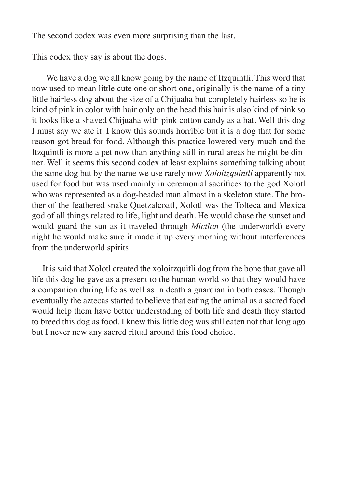The second codex was even more surprising than the last.

This codex they say is about the dogs.

We have a dog we all know going by the name of Itzquintli. This word that now used to mean little cute one or short one, originally is the name of a tiny little hairless dog about the size of a Chijuaha but completely hairless so he is kind of pink in color with hair only on the head this hair is also kind of pink so it looks like a shaved Chijuaha with pink cotton candy as a hat. Well this dog I must say we ate it. I know this sounds horrible but it is a dog that for some reason got bread for food. Although this practice lowered very much and the Itzquintli is more a pet now than anything still in rural areas he might be dinner. Well it seems this second codex at least explains something talking about the same dog but by the name we use rarely now *Xoloitzquintli* apparently not used for food but was used mainly in ceremonial sacrifices to the god Xolotl who was represented as a dog-headed man almost in a skeleton state. The brother of the feathered snake Quetzalcoatl, Xolotl was the Tolteca and Mexica god of all things related to life, light and death. He would chase the sunset and would guard the sun as it traveled through *Mictlan* (the underworld) every night he would make sure it made it up every morning without interferences from the underworld spirits.

 It is said that Xolotl created the xoloitzquitli dog from the bone that gave all life this dog he gave as a present to the human world so that they would have a companion during life as well as in death a guardian in both cases. Though eventually the aztecas started to believe that eating the animal as a sacred food would help them have better understading of both life and death they started to breed this dog as food. I knew this little dog was still eaten not that long ago but I never new any sacred ritual around this food choice.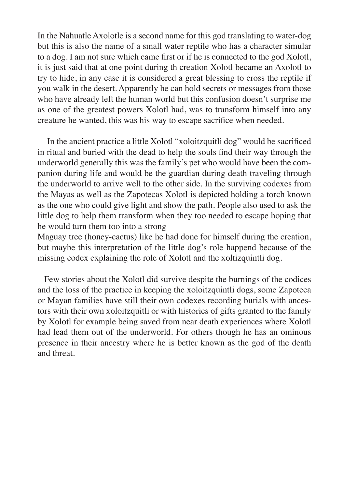In the Nahuatle Axolotle is a second name for this god translating to water-dog but this is also the name of a small water reptile who has a character simular to a dog. I am not sure which came first or if he is connected to the god Xolotl, it is just said that at one point during th creation Xolotl became an Axolotl to try to hide, in any case it is considered a great blessing to cross the reptile if you walk in the desert. Apparently he can hold secrets or messages from those who have already left the human world but this confusion doesn't surprise me as one of the greatest powers Xolotl had, was to transform himself into any creature he wanted, this was his way to escape sacrifice when needed.

 In the ancient practice a little Xolotl "xoloitzquitli dog" would be sacrificed in ritual and buried with the dead to help the souls find their way through the underworld generally this was the family's pet who would have been the companion during life and would be the guardian during death traveling through the underworld to arrive well to the other side. In the surviving codexes from the Mayas as well as the Zapotecas Xolotl is depicted holding a torch known as the one who could give light and show the path. People also used to ask the little dog to help them transform when they too needed to escape hoping that he would turn them too into a strong

Maguay tree (honey-cactus) like he had done for himself during the creation, but maybe this interpretation of the little dog's role happend because of the missing codex explaining the role of Xolotl and the xoltizquintli dog.

 Few stories about the Xolotl did survive despite the burnings of the codices and the loss of the practice in keeping the xoloitzquintli dogs, some Zapoteca or Mayan families have still their own codexes recording burials with ancestors with their own xoloitzquitli or with histories of gifts granted to the family by Xolotl for example being saved from near death experiences where Xolotl had lead them out of the underworld. For others though he has an ominous presence in their ancestry where he is better known as the god of the death and threat.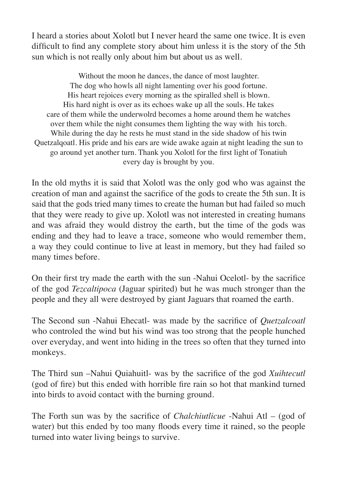I heard a stories about Xolotl but I never heard the same one twice. It is even difficult to find any complete story about him unless it is the story of the 5th sun which is not really only about him but about us as well.

Without the moon he dances, the dance of most laughter. The dog who howls all night lamenting over his good fortune. His heart rejoices every morning as the spiralled shell is blown. His hard night is over as its echoes wake up all the souls. He takes care of them while the underwolrd becomes a home around them he watches over them while the night consumes them lighting the way with his torch. While during the day he rests he must stand in the side shadow of his twin Quetzalqoatl. His pride and his ears are wide awake again at night leading the sun to go around yet another turn. Thank you Xolotl for the first light of Tonatiuh every day is brought by you.

In the old myths it is said that Xolotl was the only god who was against the creation of man and against the sacrifice of the gods to create the 5th sun. It is said that the gods tried many times to create the human but had failed so much that they were ready to give up. Xolotl was not interested in creating humans and was afraid they would distroy the earth, but the time of the gods was ending and they had to leave a trace, someone who would remember them, a way they could continue to live at least in memory, but they had failed so many times before.

On their first try made the earth with the sun -Nahui Ocelotl- by the sacrifice of the god *Tezcaltipoca* (Jaguar spirited) but he was much stronger than the people and they all were destroyed by giant Jaguars that roamed the earth.

The Second sun -Nahui Ehecatl- was made by the sacrifice of *Quetzalcoatl*  who controled the wind but his wind was too strong that the people hunched over everyday, and went into hiding in the trees so often that they turned into monkeys.

The Third sun –Nahui Quiahuitl- was by the sacrifice of the god *Xuihtecutl*  (god of fire) but this ended with horrible fire rain so hot that mankind turned into birds to avoid contact with the burning ground.

The Forth sun was by the sacrifice of *Chalchiutlicue* -Nahui Atl – (god of water) but this ended by too many floods every time it rained, so the people turned into water living beings to survive.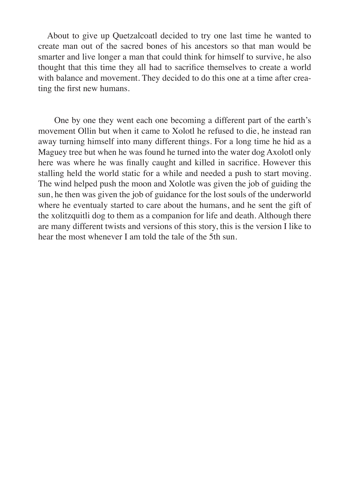About to give up Quetzalcoatl decided to try one last time he wanted to create man out of the sacred bones of his ancestors so that man would be smarter and live longer a man that could think for himself to survive, he also thought that this time they all had to sacrifice themselves to create a world with balance and movement. They decided to do this one at a time after creating the first new humans.

 One by one they went each one becoming a different part of the earth's movement Ollin but when it came to Xolotl he refused to die, he instead ran away turning himself into many different things. For a long time he hid as a Maguey tree but when he was found he turned into the water dog Axolotl only here was where he was finally caught and killed in sacrifice. However this stalling held the world static for a while and needed a push to start moving. The wind helped push the moon and Xolotle was given the job of guiding the sun, he then was given the job of guidance for the lost souls of the underworld where he eventualy started to care about the humans, and he sent the gift of the xolitzquitli dog to them as a companion for life and death. Although there are many different twists and versions of this story, this is the version I like to hear the most whenever I am told the tale of the 5th sun.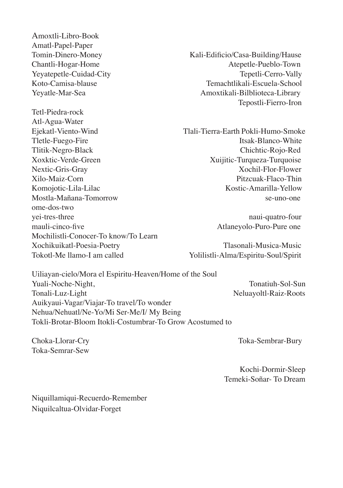Amoxtli-Libro-Book Amatl-Papel-Paper Tomin-Dinero-Money Kali-Edificio/Casa-Building/Hause Chantli-Hogar-Home and the Chantle-Pueblo-Town Yevatepetle-Cuidad-City Tepetli-Cerro-Vally Koto-Camisa-blause Temachtlikali-Escuela-School Yeyatle-Mar-Sea Amoxtikali-Bilblioteca-Library Tetl-Piedra-rock Atl-Agua-Water Ejekatl-Viento-Wind Tlali-Tierra-Earth Pokli-Humo-Smoke Tletle-Fuego-Fire Itsak-Blanco-White Tlitik-Negro-Black Chichtic-Rojo-Red Xoxktic-Verde-Green Xuijitic-Turqueza-Turquoise Nextic-Gris-Gray Xochil-Flor-Flower Xilo-Maiz-Corn Pitzcuak-Flaco-Thin Komojotic-Lila-Lilac **Kostic-Amarilla-Yellow** Mostla-Mañana-Tomorrow se-uno-one ome-dos-two yei-tres-three naui-quatro-four mauli-cinco-five Atlaneyolo-Puro-Pure one Mochilistli-Conocer-To know/To Learn Xochikuikatl-Poesia-Poetry Tlasonali-Musica-Music Tokotl-Me llamo-I am called Yolilistli-Alma/Espiritu-Soul/Spirit

Tepostli-Fierro-Iron

Uiliayan-cielo/Mora el Espiritu-Heaven/Home of the Soul Yuali-Noche-Night, Tonatiuh-Sol-Sun Tonali-Luz-Light Neluayoltl-Raiz-Roots Auikyaui-Vagar/Viajar-To travel/To wonder Nehua/Nehuatl/Ne-Yo/Mi Ser-Me/I/ My Being Tokli-Brotar-Bloom Itokli-Costumbrar-To Grow Acostumed to

Toka-Semrar-Sew

Choka-Llorar-Cry Toka-Sembrar-Bury

Kochi-Dormir-Sleep Temeki-Soñar- To Dream

Niquillamiqui-Recuerdo-Remember Niquilcaltua-Olvidar-Forget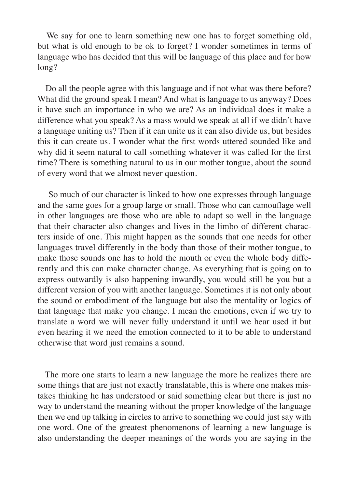We say for one to learn something new one has to forget something old, but what is old enough to be ok to forget? I wonder sometimes in terms of language who has decided that this will be language of this place and for how long?

 Do all the people agree with this language and if not what was there before? What did the ground speak I mean? And what is language to us anyway? Does it have such an importance in who we are? As an individual does it make a difference what you speak? As a mass would we speak at all if we didn't have a language uniting us? Then if it can unite us it can also divide us, but besides this it can create us. I wonder what the first words uttered sounded like and why did it seem natural to call something whatever it was called for the first time? There is something natural to us in our mother tongue, about the sound of every word that we almost never question.

 So much of our character is linked to how one expresses through language and the same goes for a group large or small. Those who can camouflage well in other languages are those who are able to adapt so well in the language that their character also changes and lives in the limbo of different characters inside of one. This might happen as the sounds that one needs for other languages travel differently in the body than those of their mother tongue, to make those sounds one has to hold the mouth or even the whole body differently and this can make character change. As everything that is going on to express outwardly is also happening inwardly, you would still be you but a different version of you with another language. Sometimes it is not only about the sound or embodiment of the language but also the mentality or logics of that language that make you change. I mean the emotions, even if we try to translate a word we will never fully understand it until we hear used it but even hearing it we need the emotion connected to it to be able to understand otherwise that word just remains a sound.

 The more one starts to learn a new language the more he realizes there are some things that are just not exactly translatable, this is where one makes mistakes thinking he has understood or said something clear but there is just no way to understand the meaning without the proper knowledge of the language then we end up talking in circles to arrive to something we could just say with one word. One of the greatest phenomenons of learning a new language is also understanding the deeper meanings of the words you are saying in the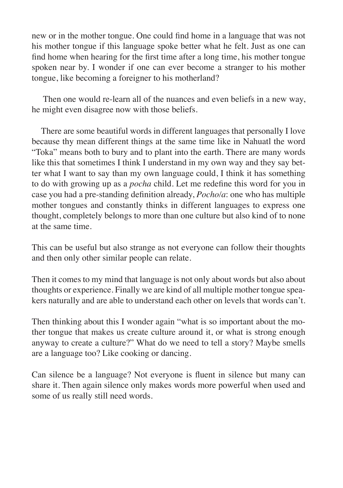new or in the mother tongue. One could find home in a language that was not his mother tongue if this language spoke better what he felt. Just as one can find home when hearing for the first time after a long time, his mother tongue spoken near by. I wonder if one can ever become a stranger to his mother tongue, like becoming a foreigner to his motherland?

 Then one would re-learn all of the nuances and even beliefs in a new way, he might even disagree now with those beliefs.

 There are some beautiful words in different languages that personally I love because thy mean different things at the same time like in Nahuatl the word "Toka" means both to bury and to plant into the earth. There are many words like this that sometimes I think I understand in my own way and they say better what I want to say than my own language could, I think it has something to do with growing up as a *pocha* child. Let me redefine this word for you in case you had a pre-standing definition already, *Pocho/a*: one who has multiple mother tongues and constantly thinks in different languages to express one thought, completely belongs to more than one culture but also kind of to none at the same time.

This can be useful but also strange as not everyone can follow their thoughts and then only other similar people can relate.

Then it comes to my mind that language is not only about words but also about thoughts or experience. Finally we are kind of all multiple mother tongue speakers naturally and are able to understand each other on levels that words can't.

Then thinking about this I wonder again "what is so important about the mother tongue that makes us create culture around it, or what is strong enough anyway to create a culture?" What do we need to tell a story? Maybe smells are a language too? Like cooking or dancing.

Can silence be a language? Not everyone is fluent in silence but many can share it. Then again silence only makes words more powerful when used and some of us really still need words.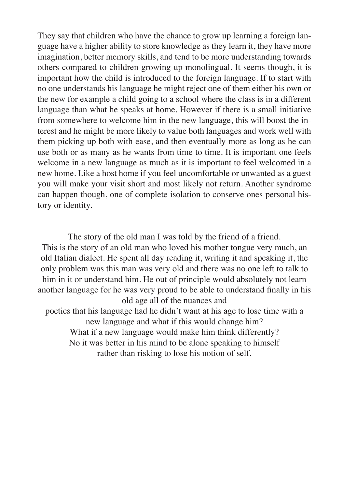They say that children who have the chance to grow up learning a foreign language have a higher ability to store knowledge as they learn it, they have more imagination, better memory skills, and tend to be more understanding towards others compared to children growing up monolingual. It seems though, it is important how the child is introduced to the foreign language. If to start with no one understands his language he might reject one of them either his own or the new for example a child going to a school where the class is in a different language than what he speaks at home. However if there is a small initiative from somewhere to welcome him in the new language, this will boost the interest and he might be more likely to value both languages and work well with them picking up both with ease, and then eventually more as long as he can use both or as many as he wants from time to time. It is important one feels welcome in a new language as much as it is important to feel welcomed in a new home. Like a host home if you feel uncomfortable or unwanted as a guest you will make your visit short and most likely not return. Another syndrome can happen though, one of complete isolation to conserve ones personal history or identity.

The story of the old man I was told by the friend of a friend. This is the story of an old man who loved his mother tongue very much, an old Italian dialect. He spent all day reading it, writing it and speaking it, the only problem was this man was very old and there was no one left to talk to him in it or understand him. He out of principle would absolutely not learn another language for he was very proud to be able to understand finally in his old age all of the nuances and poetics that his language had he didn't want at his age to lose time with a new language and what if this would change him? What if a new language would make him think differently? No it was better in his mind to be alone speaking to himself rather than risking to lose his notion of self.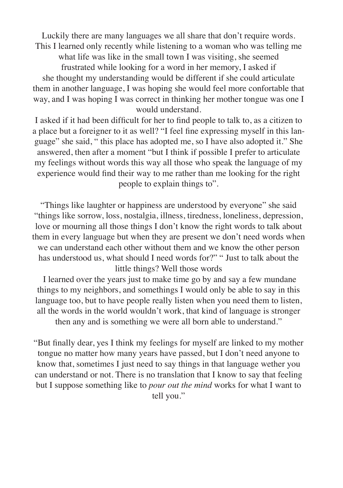Luckily there are many languages we all share that don't require words. This I learned only recently while listening to a woman who was telling me

what life was like in the small town I was visiting, she seemed

frustrated while looking for a word in her memory, I asked if she thought my understanding would be different if she could articulate them in another language, I was hoping she would feel more confortable that way, and I was hoping I was correct in thinking her mother tongue was one I would understand.

I asked if it had been difficult for her to find people to talk to, as a citizen to a place but a foreigner to it as well? "I feel fine expressing myself in this language" she said, " this place has adopted me, so I have also adopted it." She answered, then after a moment "but I think if possible I prefer to articulate my feelings without words this way all those who speak the language of my experience would find their way to me rather than me looking for the right people to explain things to".

"Things like laughter or happiness are understood by everyone" she said "things like sorrow, loss, nostalgia, illness, tiredness, loneliness, depression, love or mourning all those things I don't know the right words to talk about them in every language but when they are present we don't need words when we can understand each other without them and we know the other person has understood us, what should I need words for?" " Just to talk about the little things? Well those words

 I learned over the years just to make time go by and say a few mundane things to my neighbors, and somethings I would only be able to say in this language too, but to have people really listen when you need them to listen, all the words in the world wouldn't work, that kind of language is stronger then any and is something we were all born able to understand."

"But finally dear, yes I think my feelings for myself are linked to my mother tongue no matter how many years have passed, but I don't need anyone to know that, sometimes I just need to say things in that language wether you can understand or not. There is no translation that I know to say that feeling but I suppose something like to *pour out the mind* works for what I want to tell you."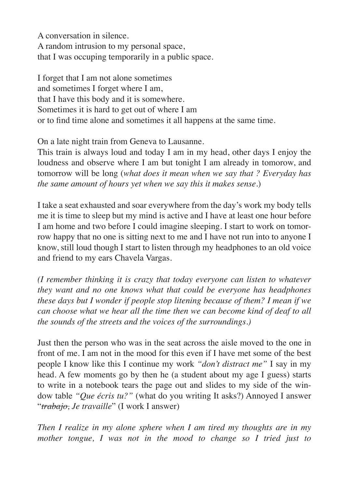A conversation in silence. A random intrusion to my personal space, that I was occuping temporarily in a public space.

I forget that I am not alone sometimes and sometimes I forget where I am, that I have this body and it is somewhere. Sometimes it is hard to get out of where I am or to find time alone and sometimes it all happens at the same time.

On a late night train from Geneva to Lausanne.

This train is always loud and today I am in my head, other days I enjoy the loudness and observe where I am but tonight I am already in tomorow, and tomorrow will be long (*what does it mean when we say that ? Everyday has the same amount of hours yet when we say this it makes sense.*)

I take a seat exhausted and soar everywhere from the day's work my body tells me it is time to sleep but my mind is active and I have at least one hour before I am home and two before I could imagine sleeping. I start to work on tomorrow happy that no one is sitting next to me and I have not run into to anyone I know, still loud though I start to listen through my headphones to an old voice and friend to my ears Chavela Vargas.

*(I remember thinking it is crazy that today everyone can listen to whatever they want and no one knows what that could be everyone has headphones these days but I wonder if people stop litening because of them? I mean if we can choose what we hear all the time then we can become kind of deaf to all the sounds of the streets and the voices of the surroundings.)*

Just then the person who was in the seat across the aisle moved to the one in front of me. I am not in the mood for this even if I have met some of the best people I know like this I continue my work *"don't distract me"* I say in my head. A few moments go by then he (a student about my age I guess) starts to write in a notebook tears the page out and slides to my side of the window table *"Que écris tu?"* (what do you writing It asks?) Annoyed I answer "*trabajo, Je travaille*" (I work I answer)

*Then I realize in my alone sphere when I am tired my thoughts are in my mother tongue, I was not in the mood to change so I tried just to*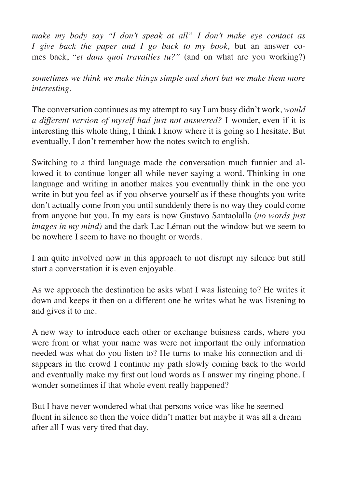*make my body say "I don't speak at all" I don't make eye contact as I give back the paper and I go back to my book,* but an answer comes back, "*et dans quoi travailles tu?"* (and on what are you working?)

*sometimes we think we make things simple and short but we make them more interesting.*

The conversation continues as my attempt to say I am busy didn't work, *would a different version of myself had just not answered?* I wonder, even if it is interesting this whole thing, I think I know where it is going so I hesitate. But eventually, I don't remember how the notes switch to english.

Switching to a third language made the conversation much funnier and allowed it to continue longer all while never saying a word. Thinking in one language and writing in another makes you eventually think in the one you write in but you feel as if you observe yourself as if these thoughts you write don't actually come from you until sunddenly there is no way they could come from anyone but you. In my ears is now Gustavo Santaolalla (*no words just images in my mind)* and the dark Lac Léman out the window but we seem to be nowhere I seem to have no thought or words.

I am quite involved now in this approach to not disrupt my silence but still start a converstation it is even enjoyable.

As we approach the destination he asks what I was listening to? He writes it down and keeps it then on a different one he writes what he was listening to and gives it to me.

A new way to introduce each other or exchange buisness cards, where you were from or what your name was were not important the only information needed was what do you listen to? He turns to make his connection and disappears in the crowd I continue my path slowly coming back to the world and eventually make my first out loud words as I answer my ringing phone. I wonder sometimes if that whole event really happened?

But I have never wondered what that persons voice was like he seemed fluent in silence so then the voice didn't matter but maybe it was all a dream after all I was very tired that day.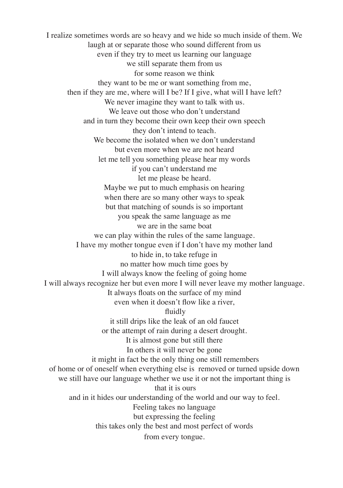I realize sometimes words are so heavy and we hide so much inside of them. We laugh at or separate those who sound different from us even if they try to meet us learning our language we still separate them from us for some reason we think they want to be me or want something from me, then if they are me, where will I be? If I give, what will I have left? We never imagine they want to talk with us. We leave out those who don't understand and in turn they become their own keep their own speech they don't intend to teach. We become the isolated when we don't understand but even more when we are not heard let me tell you something please hear my words if you can't understand me let me please be heard. Maybe we put to much emphasis on hearing when there are so many other ways to speak but that matching of sounds is so important you speak the same language as me we are in the same boat we can play within the rules of the same language. I have my mother tongue even if I don't have my mother land to hide in, to take refuge in no matter how much time goes by I will always know the feeling of going home I will always recognize her but even more I will never leave my mother language. It always floats on the surface of my mind even when it doesn't flow like a river, fluidly it still drips like the leak of an old faucet or the attempt of rain during a desert drought. It is almost gone but still there In others it will never be gone it might in fact be the only thing one still remembers of home or of oneself when everything else is removed or turned upside down we still have our language whether we use it or not the important thing is that it is ours and in it hides our understanding of the world and our way to feel. Feeling takes no language but expressing the feeling this takes only the best and most perfect of words from every tongue.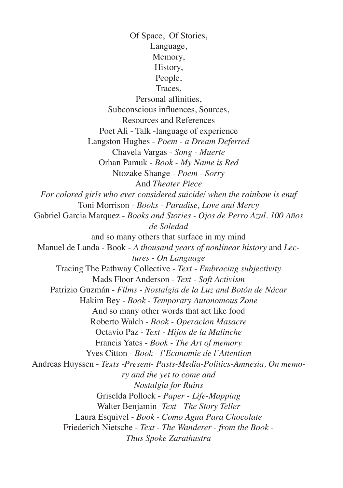Of Space, Of Stories, Language, Memory, History, People, Traces, Personal affinities, Subconscious influences, Sources, Resources and References Poet Ali - Talk -language of experience Langston Hughes - *Poem - a Dream Deferred* Chavela Vargas - *Song - Muerte* Orhan Pamuk - *Book - My Name is Red* Ntozake Shange - *Poem - Sorry* And *Theater Piece For colored girls who ever considered suicide/ when the rainbow is enuf* Toni Morrison - *Books - Paradise, Love and Mercy* Gabriel Garcia Marquez - *Books and Stories - Ojos de Perro Azul. 100 Años de Soledad* and so many others that surface in my mind Manuel de Landa - Book - *A thousand years of nonlinear history* and *Lectures - On Language* Tracing The Pathway Collective - *Text - Embracing subjectivity* Mads Floor Anderson - *Text - Soft Activism* Patrizio Guzmán - *Films - Nostalgia de la Luz and Botón de Nácar* Hakim Bey - *Book - Temporary Autonomous Zone* And so many other words that act like food Roberto Walch - *Book - Operacion Masacre* Octavio Paz - *Text - Hijos de la Malinche* Francis Yates - *Book - The Art of memory* Yves Citton - *Book - l'Economie de l'Attention* Andreas Huyssen - *Texts -Present- Pasts-Media-Politics-Amnesia, On memory and the yet to come and Nostalgia for Ruins* Griselda Pollock - *Paper - Life-Mapping* Walter Benjamin -*Text - The Story Teller* Laura Esquivel - *Book - Como Agua Para Chocolate* Friederich Nietsche - *Text - The Wanderer - from the Book - Thus Spoke Zarathustra*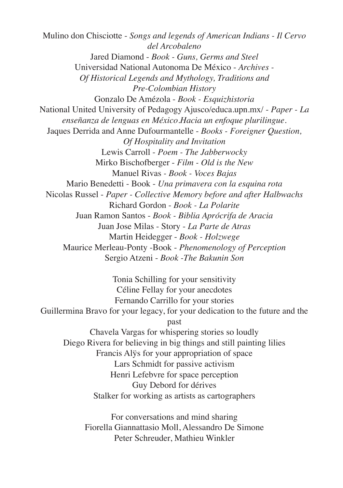Mulino don Chisciotte - *Songs and legends of American Indians - Il Cervo del Arcobaleno* Jared Diamond - *Book - Guns, Germs and Steel* Universidad National Autonoma De México - *Archives - Of Historical Legends and Mythology, Traditions and Pre-Colombian History* Gonzalo De Amézola - *Book - Esquizhistoria* National United University of Pedagogy Ajusco/educa.upn.mx/ - *Paper - La enseñanza de lenguas en México.Hacia un enfoque plurilingue.* Jaques Derrida and Anne Dufourmantelle - *Books - Foreigner Question, Of Hospitality and Invitation* Lewis Carroll - *Poem - The Jabberwocky* Mirko Bischofberger - *Film - Old is the New* Manuel Rivas *- Book - Voces Bajas* Mario Benedetti - Book - *Una primavera con la esquina rota* Nicolas Russel - *Paper - Collective Memory before and after Halbwachs* Richard Gordon - *Book - La Polarite* Juan Ramon Santos - *Book - Biblia Aprócrifa de Aracia* Juan Jose Milas - Story - *La Parte de Atras* Martin Heidegger - *Book - Holzwege* Maurice Merleau-Ponty -Book - *Phenomenology of Perception* Sergio Atzeni - *Book -The Bakunin Son* Tonia Schilling for your sensitivity Céline Fellay for your anecdotes Fernando Carrillo for your stories Guillermina Bravo for your legacy, for your dedication to the future and the past

Chavela Vargas for whispering stories so loudly Diego Rivera for believing in big things and still painting lilies Francis Alÿs for your appropriation of space Lars Schmidt for passive activism Henri Lefebvre for space perception Guy Debord for dérives Stalker for working as artists as cartographers

> For conversations and mind sharing Fiorella Giannattasio Moll, Alessandro De Simone Peter Schreuder, Mathieu Winkler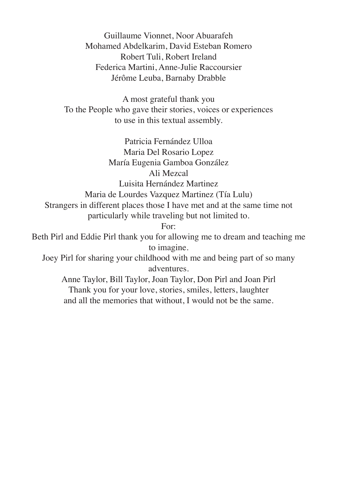Guillaume Vionnet, Noor Abuarafeh Mohamed Abdelkarim, David Esteban Romero Robert Tuli, Robert Ireland Federica Martini, Anne-Julie Raccoursier Jérôme Leuba, Barnaby Drabble

A most grateful thank you To the People who gave their stories, voices or experiences to use in this textual assembly.

Patricia Fernández Ulloa Maria Del Rosario Lopez María Eugenia Gamboa González Ali Mezcal Luisita Hernández Martinez Maria de Lourdes Vazquez Martinez (Tía Lulu) Strangers in different places those I have met and at the same time not particularly while traveling but not limited to. For:

Beth Pirl and Eddie Pirl thank you for allowing me to dream and teaching me to imagine.

Joey Pirl for sharing your childhood with me and being part of so many adventures.

Anne Taylor, Bill Taylor, Joan Taylor, Don Pirl and Joan Pirl Thank you for your love, stories, smiles, letters, laughter and all the memories that without, I would not be the same.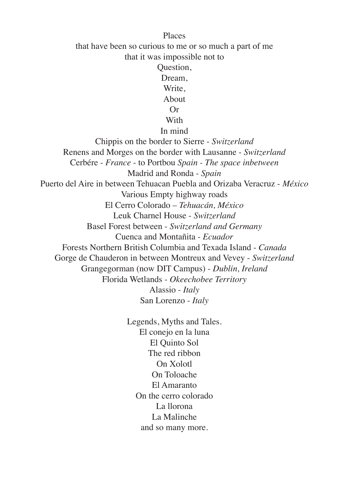Places that have been so curious to me or so much a part of me that it was impossible not to Question, Dream, Write, About Or **With** In mind Chippis on the border to Sierre - *Switzerland* Renens and Morges on the border with Lausanne - *Switzerland* Cerbére - *France* - to Portbou *Spain - The space inbetween* Madrid and Ronda - *Spain* Puerto del Aire in between Tehuacan Puebla and Orizaba Veracruz - *México* Various Empty highway roads El Cerro Colorado – *Tehuacán, México* Leuk Charnel House - *Switzerland* Basel Forest between - *Switzerland and Germany* Cuenca and Montañita - *Ecuador* Forests Northern British Columbia and Texada Island - *Canada* Gorge de Chauderon in between Montreux and Vevey - *Switzerland* Grangegorman (now DIT Campus) - *Dublin, Ireland* Florida Wetlands - *Okeechobee Territory* Alassio - *Italy* San Lorenzo - *Italy*

> Legends, Myths and Tales. El conejo en la luna El Quinto Sol The red ribbon On Xolotl On Toloache El Amaranto On the cerro colorado La llorona La Malinche and so many more.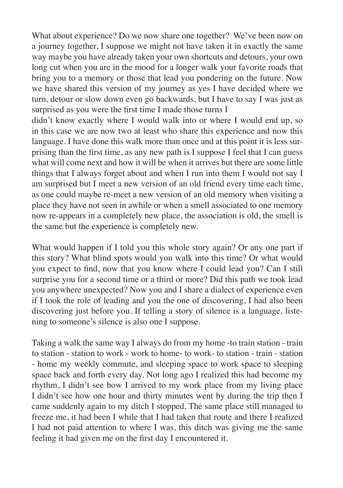What about experience? Do we now share one together? We've been now on a journey together, I suppose we might not have taken it in exactly the same way maybe you have already taken your own shortcuts and detours, your own long cut when you are in the mood for a longer walk your favorite roads that bring you to a memory or those that lead you pondering on the future. Now we have shared this version of my journey as yes I have decided where we turn, detour or slow down even go backwards, but I have to say I was just as surprised as you were the first time I made those turns I

didn't know exactly where I would walk into or where I would end up, so in this case we are now two at least who share this experience and now this language. I have done this walk more than once and at this point it is less surprising than the first time, as any new path is I suppose I feel that I can guess what will come next and how it will be when it arrives but there are some little things that I always forget about and when I run into them I would not say I am surprised but I meet a new version of an old friend every time each time, as one could maybe re-meet a new version of an old memory when visiting a place they have not seen in awhile or when a smell associated to one memory now re-appears in a completely new place, the association is old, the smell is the same but the experience is completely new.

What would happen if I told you this whole story again? Or any one part if this story? What blind spots would you walk into this time? Or what would you expect to find, now that you know where I could lead you? Can I still surprise you for a second time or a third or more? Did this path we took lead you anywhere unexpected? Now you and I share a dialect of experience even if I took the role of leading and you the one of discovering, I had also been discovering just before you. If telling a story of silence is a language, listening to someone's silence is also one I suppose.

Taking a walk the same way I always do from my home -to train station - train to station - station to work - work to home- to work- to station - train - station - home my weekly commute, and sleeping space to work space to sleeping space back and forth every day. Not long ago I realized this had become my rhythm, I didn't see how I arrived to my work place from my living place I didn't see how one hour and thirty minutes went by during the trip then I came suddenly again to my ditch I stopped. The same place still managed to freeze me, it had been I while that I had taken that route and there I realized I had not paid attention to where I was, this ditch was giving me the same feeling it had given me on the first day I encountered it.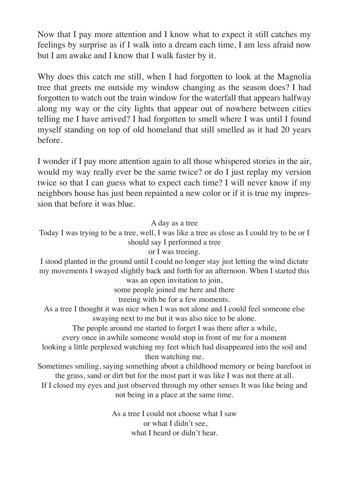Now that I pay more attention and I know what to expect it still catches my feelings by surprise as if I walk into a dream each time, I am less afraid now but I am awake and I know that I walk faster by it.

Why does this catch me still, when I had forgotten to look at the Magnolia tree that greets me outside my window changing as the season does? I had forgotten to watch out the train window for the waterfall that appears halfway along my way or the city lights that appear out of nowhere between cities telling me I have arrived? I had forgotten to smell where I was until I found myself standing on top of old homeland that still smelled as it had 20 years before.

I wonder if I pay more attention again to all those whispered stories in the air, would my way really ever be the same twice? or do I just replay my version twice so that I can guess what to expect each time? I will never know if my neighbors house has just been repainted a new color or if it is true my impression that before it was blue.

## A day as a tree

Today I was trying to be a tree, well, I was like a tree as close as I could try to be or I should say I performed a tree

## or I was treeing.

I stood planted in the ground until I could no longer stay just letting the wind dictate my movements I swayed slightly back and forth for an afternoon. When I started this

was an open invitation to join,

some people joined me here and there

treeing with be for a few moments.

As a tree I thought it was nice when I was not alone and I could feel someone else swaying next to me but it was also nice to be alone.

The people around me started to forget I was there after a while,

every once in awhile someone would stop in front of me for a moment

looking a little perplexed watching my feet which had disappeared into the soil and then watching me.

Sometimes smiling, saying something about a childhood memory or being barefoot in the grass, sand or dirt but for the most part it was like I was not there at all.

If I closed my eyes and just observed through my other senses It was like being and not being in a place at the same time.

> As a tree I could not choose what I saw or what I didn't see, what I heard or didn't hear.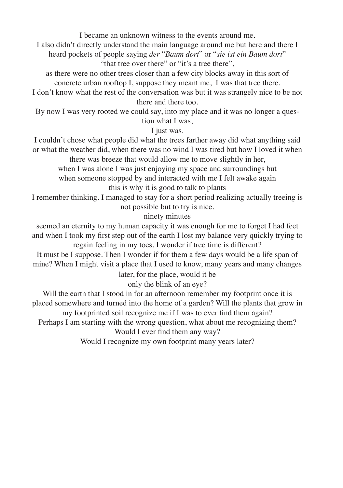I became an unknown witness to the events around me.

I also didn't directly understand the main language around me but here and there I heard pockets of people saying *der* "*Baum dort*" or "*sie ist ein Baum dort*" "that tree over there" or "it's a tree there".

as there were no other trees closer than a few city blocks away in this sort of concrete urban rooftop I, suppose they meant me, I was that tree there.

I don't know what the rest of the conversation was but it was strangely nice to be not there and there too.

By now I was very rooted we could say, into my place and it was no longer a ques-

tion what I was,

I just was.

I couldn't chose what people did what the trees farther away did what anything said or what the weather did, when there was no wind I was tired but how I loved it when there was breeze that would allow me to move slightly in her,

when I was alone I was just enjoying my space and surroundings but when someone stopped by and interacted with me I felt awake again this is why it is good to talk to plants

I remember thinking. I managed to stay for a short period realizing actually treeing is not possible but to try is nice.

ninety minutes

seemed an eternity to my human capacity it was enough for me to forget I had feet and when I took my first step out of the earth I lost my balance very quickly trying to regain feeling in my toes. I wonder if tree time is different?

It must be I suppose. Then I wonder if for them a few days would be a life span of mine? When I might visit a place that I used to know, many years and many changes

later, for the place, would it be

only the blink of an eye?

Will the earth that I stood in for an afternoon remember my footprint once it is placed somewhere and turned into the home of a garden? Will the plants that grow in my footprinted soil recognize me if I was to ever find them again?

Perhaps I am starting with the wrong question, what about me recognizing them?

Would I ever find them any way?

Would I recognize my own footprint many years later?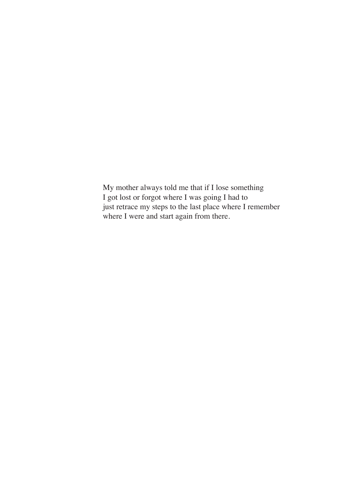My mother always told me that if I lose something I got lost or forgot where I was going I had to just retrace my steps to the last place where I remember where I were and start again from there.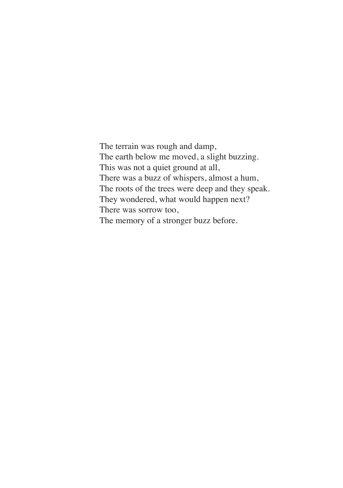The terrain was rough and damp, The earth below me moved, a slight buzzing. This was not a quiet ground at all, There was a buzz of whispers, almost a hum, The roots of the trees were deep and they speak. They wondered, what would happen next? There was sorrow too, The memory of a stronger buzz before.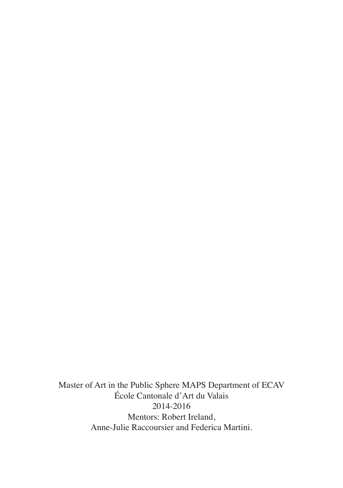Master of Art in the Public Sphere MAPS Department of ECAV École Cantonale d'Art du Valais 2014-2016 Mentors: Robert Ireland, Anne-Julie Raccoursier and Federica Martini.